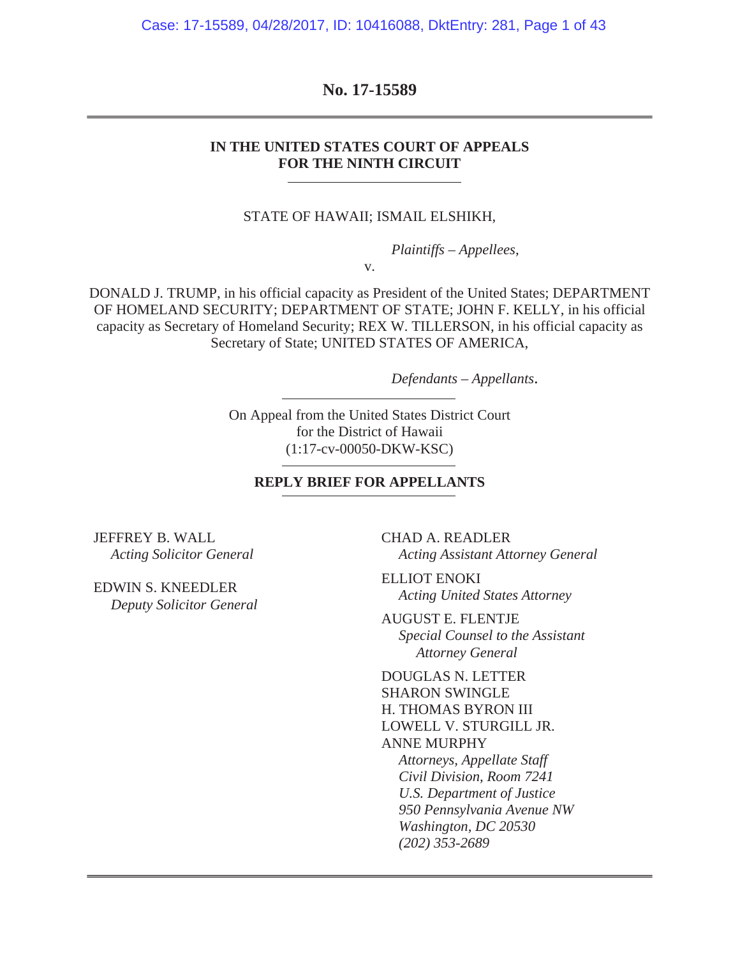Case: 17-15589, 04/28/2017, ID: 10416088, DktEntry: 281, Page 1 of 43

### **No. 17-15589**

#### **IN THE UNITED STATES COURT OF APPEALS FOR THE NINTH CIRCUIT**

#### STATE OF HAWAII; ISMAIL ELSHIKH,

*Plaintiffs – Appellees*,

v.

DONALD J. TRUMP, in his official capacity as President of the United States; DEPARTMENT OF HOMELAND SECURITY; DEPARTMENT OF STATE; JOHN F. KELLY, in his official capacity as Secretary of Homeland Security; REX W. TILLERSON, in his official capacity as Secretary of State; UNITED STATES OF AMERICA,

*Defendants – Appellants*.

On Appeal from the United States District Court for the District of Hawaii (1:17-cv-00050-DKW-KSC)

#### **REPLY BRIEF FOR APPELLANTS**

JEFFREY B. WALL *Acting Solicitor General*

EDWIN S. KNEEDLER *Deputy Solicitor General* CHAD A. READLER *Acting Assistant Attorney General*

ELLIOT ENOKI *Acting United States Attorney*

AUGUST E. FLENTJE *Special Counsel to the Assistant Attorney General*

DOUGLAS N. LETTER SHARON SWINGLE H. THOMAS BYRON III LOWELL V. STURGILL JR. ANNE MURPHY *Attorneys, Appellate Staff Civil Division, Room 7241 U.S. Department of Justice 950 Pennsylvania Avenue NW Washington, DC 20530 (202) 353-2689*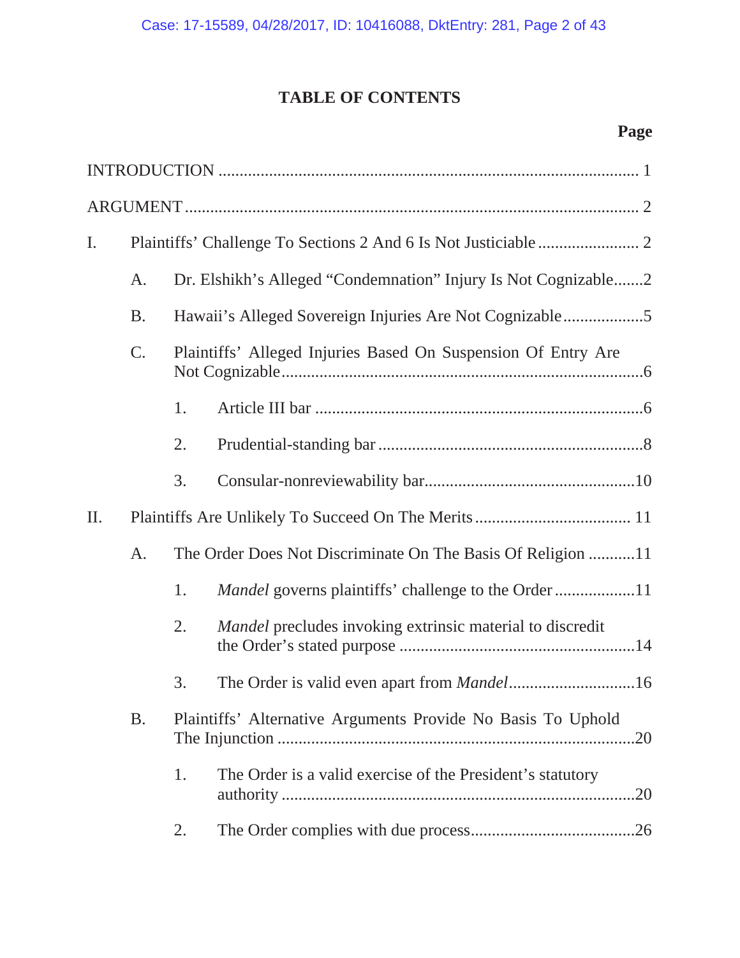# **TABLE OF CONTENTS**

# **Page**

| I.        |           |                                                               |                                                                     |  |
|-----------|-----------|---------------------------------------------------------------|---------------------------------------------------------------------|--|
|           | A.        |                                                               | Dr. Elshikh's Alleged "Condemnation" Injury Is Not Cognizable2      |  |
|           | <b>B.</b> |                                                               | Hawaii's Alleged Sovereign Injuries Are Not Cognizable5             |  |
|           | C.        | Plaintiffs' Alleged Injuries Based On Suspension Of Entry Are |                                                                     |  |
|           |           | 1.                                                            |                                                                     |  |
|           |           | 2.                                                            |                                                                     |  |
|           |           | 3.                                                            |                                                                     |  |
| $\prod$ . |           |                                                               |                                                                     |  |
|           | A.        |                                                               | The Order Does Not Discriminate On The Basis Of Religion 11         |  |
|           |           | 1.                                                            | Mandel governs plaintiffs' challenge to the Order 11                |  |
|           |           | 2.                                                            | <i>Mandel</i> precludes invoking extrinsic material to discredit    |  |
|           |           | 3.                                                            |                                                                     |  |
|           | <b>B.</b> |                                                               | Plaintiffs' Alternative Arguments Provide No Basis To Uphold<br>.20 |  |
|           |           | 1.                                                            | The Order is a valid exercise of the President's statutory<br>.20   |  |
|           |           | 2.                                                            |                                                                     |  |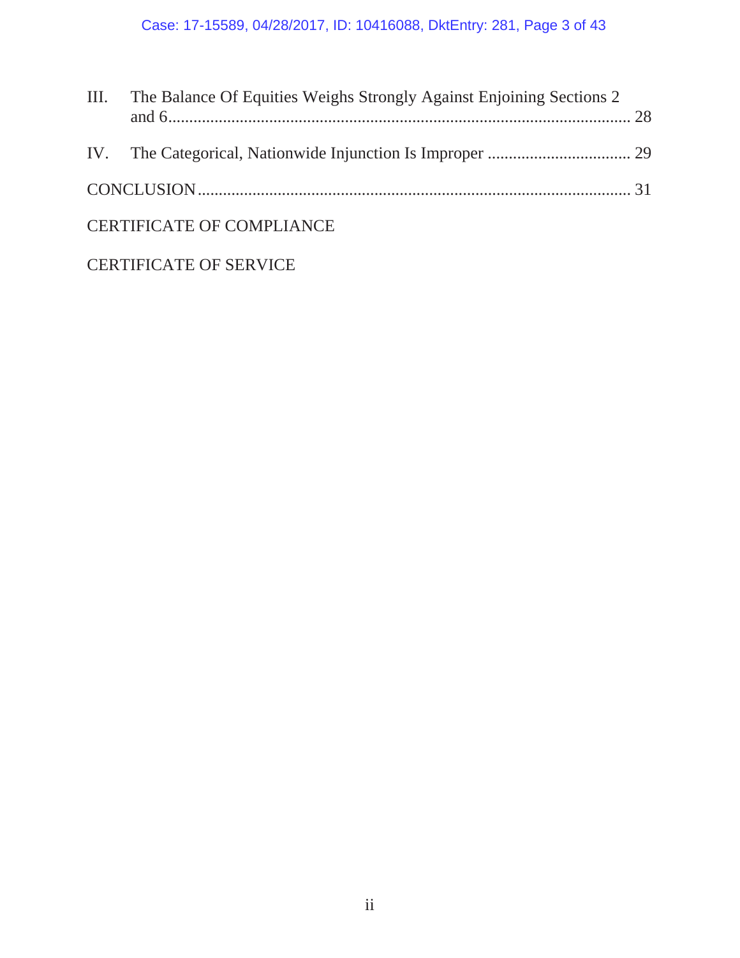| III. The Balance Of Equities Weighs Strongly Against Enjoining Sections 2 |  |
|---------------------------------------------------------------------------|--|
|                                                                           |  |
|                                                                           |  |
| <b>CERTIFICATE OF COMPLIANCE</b>                                          |  |
|                                                                           |  |

# CERTIFICATE OF SERVICE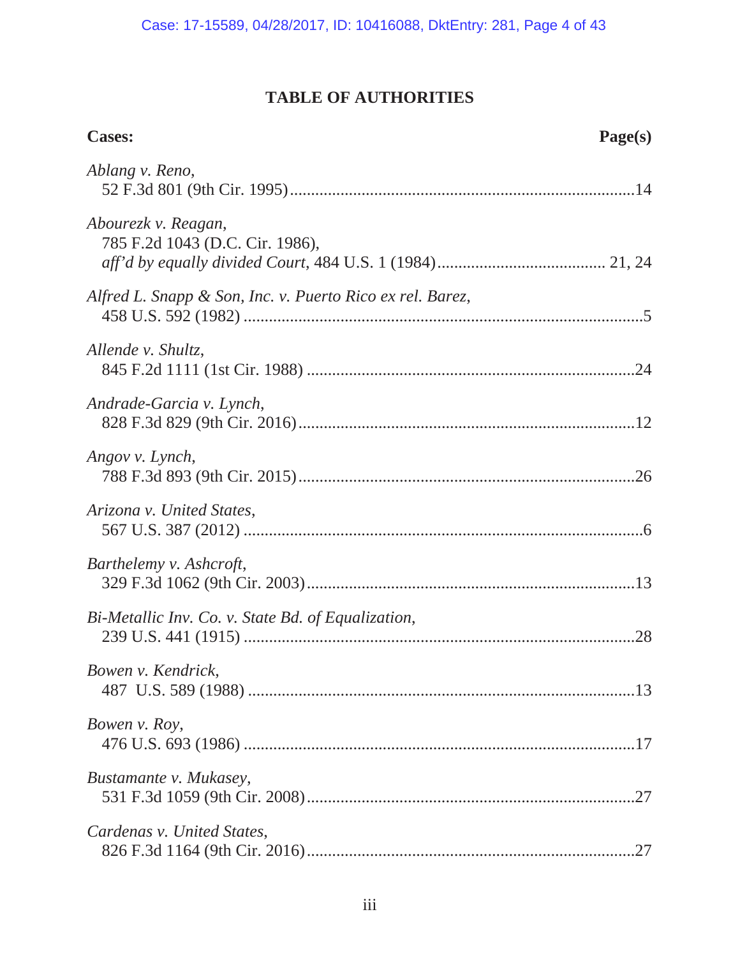# **TABLE OF AUTHORITIES**

| <b>Cases:</b>                                             | Page(s) |
|-----------------------------------------------------------|---------|
| Ablang v. Reno,                                           |         |
| Abourezk v. Reagan,<br>785 F.2d 1043 (D.C. Cir. 1986),    |         |
| Alfred L. Snapp & Son, Inc. v. Puerto Rico ex rel. Barez, |         |
| Allende v. Shultz,                                        |         |
| Andrade-Garcia v. Lynch,                                  |         |
| Angov v. Lynch,                                           |         |
| Arizona v. United States,                                 |         |
| Barthelemy v. Ashcroft,                                   |         |
| Bi-Metallic Inv. Co. v. State Bd. of Equalization,        | .28     |
| Bowen v. Kendrick,                                        |         |
| Bowen v. Roy,                                             |         |
| Bustamante v. Mukasey,                                    |         |
| Cardenas v. United States,                                |         |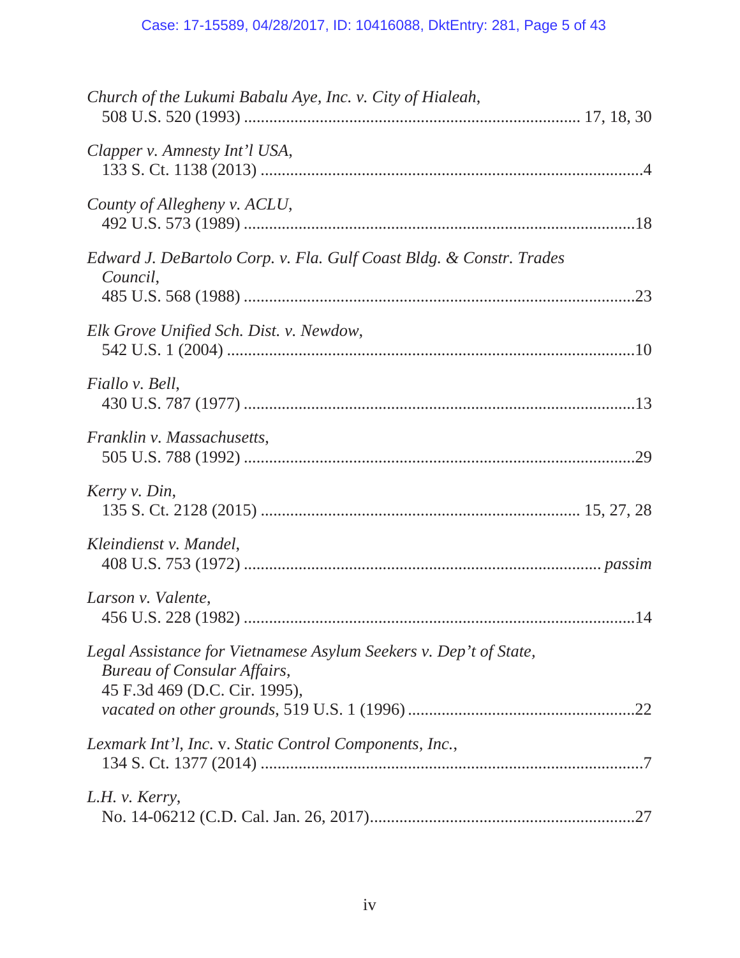| Church of the Lukumi Babalu Aye, Inc. v. City of Hialeah,                                                                                |  |
|------------------------------------------------------------------------------------------------------------------------------------------|--|
| Clapper v. Amnesty Int'l USA,                                                                                                            |  |
| County of Allegheny v. ACLU,                                                                                                             |  |
| Edward J. DeBartolo Corp. v. Fla. Gulf Coast Bldg. & Constr. Trades<br>Council,                                                          |  |
| Elk Grove Unified Sch. Dist. v. Newdow,                                                                                                  |  |
| Fiallo v. Bell,                                                                                                                          |  |
| Franklin v. Massachusetts,                                                                                                               |  |
| Kerry v. Din,                                                                                                                            |  |
| Kleindienst v. Mandel,                                                                                                                   |  |
| Larson v. Valente,                                                                                                                       |  |
| Legal Assistance for Vietnamese Asylum Seekers v. Dep't of State,<br><b>Bureau of Consular Affairs,</b><br>45 F.3d 469 (D.C. Cir. 1995), |  |
| Lexmark Int'l, Inc. v. Static Control Components, Inc.,                                                                                  |  |
| L.H. v. Kerry,                                                                                                                           |  |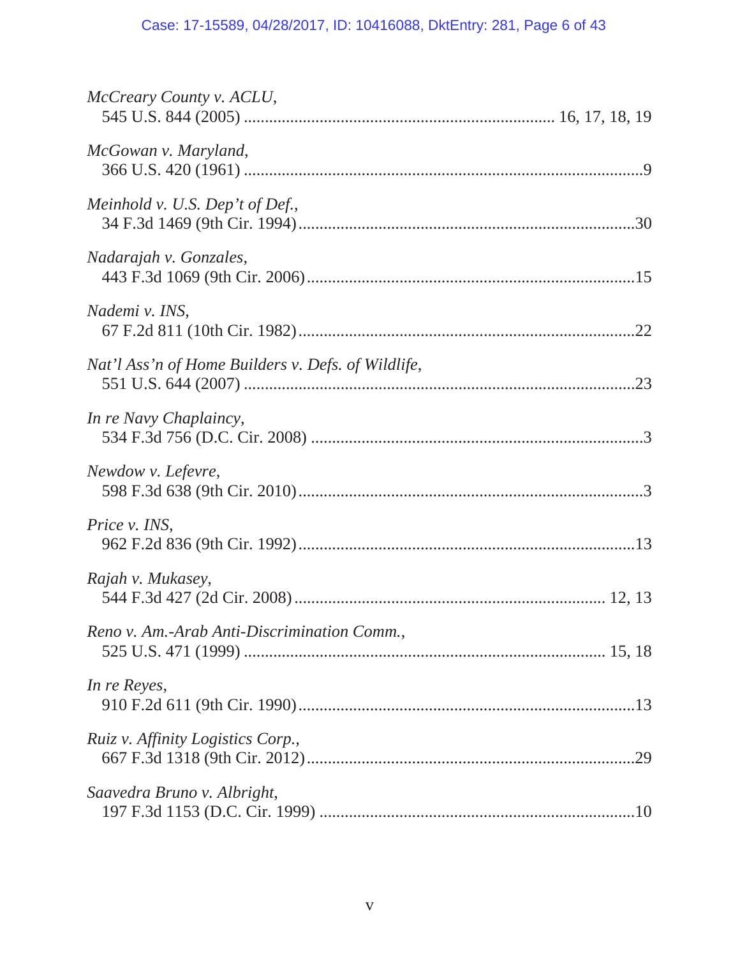| McCreary County v. ACLU,                           |
|----------------------------------------------------|
| McGowan v. Maryland,                               |
| Meinhold v. U.S. Dep't of Def.,                    |
| Nadarajah v. Gonzales,                             |
| Nademi v. INS,                                     |
| Nat'l Ass'n of Home Builders v. Defs. of Wildlife, |
| In re Navy Chaplaincy,                             |
| Newdow v. Lefevre,                                 |
| Price v. INS,                                      |
| Rajah v. Mukasey,                                  |
| Reno v. Am.-Arab Anti-Discrimination Comm.,        |
| In re Reyes,                                       |
| Ruiz v. Affinity Logistics Corp.,                  |
| Saavedra Bruno v. Albright,                        |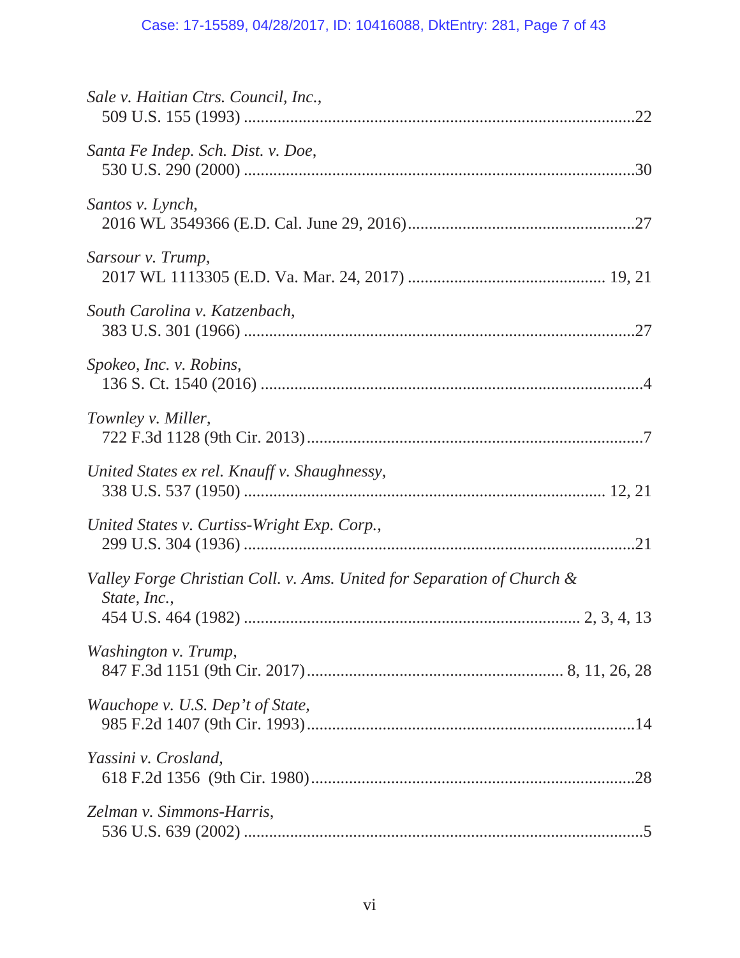| Sale v. Haitian Ctrs. Council, Inc.,                                                   |
|----------------------------------------------------------------------------------------|
| Santa Fe Indep. Sch. Dist. v. Doe,                                                     |
| Santos v. Lynch,                                                                       |
| Sarsour v. Trump,                                                                      |
| South Carolina v. Katzenbach,                                                          |
| Spokeo, Inc. v. Robins,                                                                |
| Townley v. Miller,                                                                     |
| United States ex rel. Knauff v. Shaughnessy,                                           |
| United States v. Curtiss-Wright Exp. Corp.,                                            |
| Valley Forge Christian Coll. v. Ams. United for Separation of Church &<br>State, Inc., |
|                                                                                        |
| Washington v. Trump,                                                                   |
| Wauchope v. U.S. Dep't of State,                                                       |
| Yassini v. Crosland,                                                                   |
| Zelman v. Simmons-Harris,                                                              |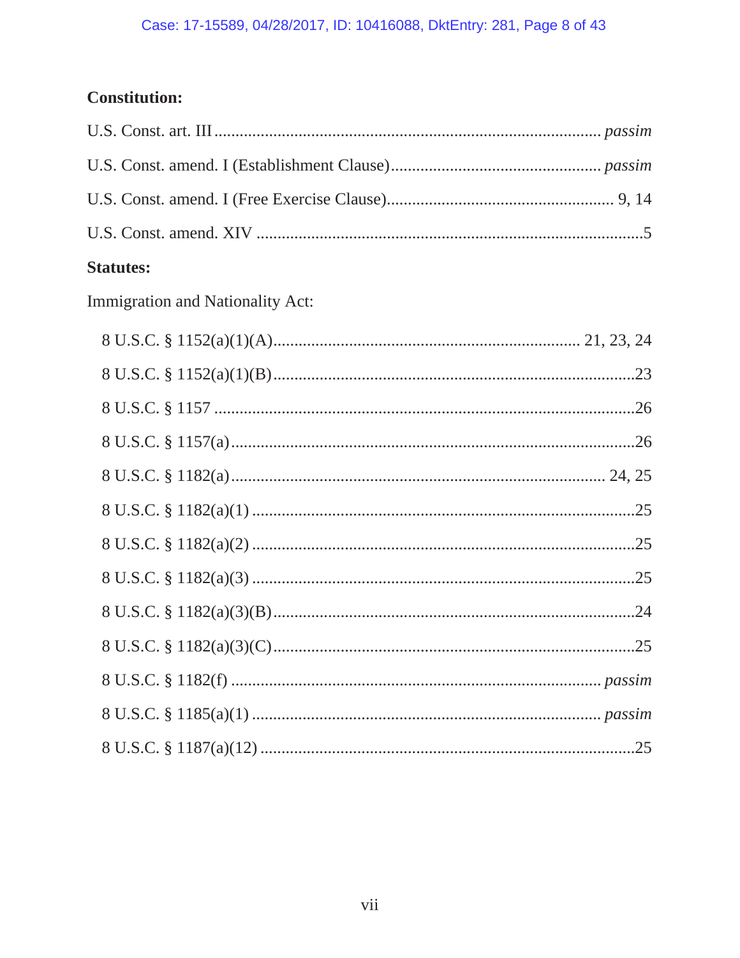# Case: 17-15589, 04/28/2017, ID: 10416088, DktEntry: 281, Page 8 of 43

# **Constitution:**

# **Statutes:**

Immigration and Nationality Act: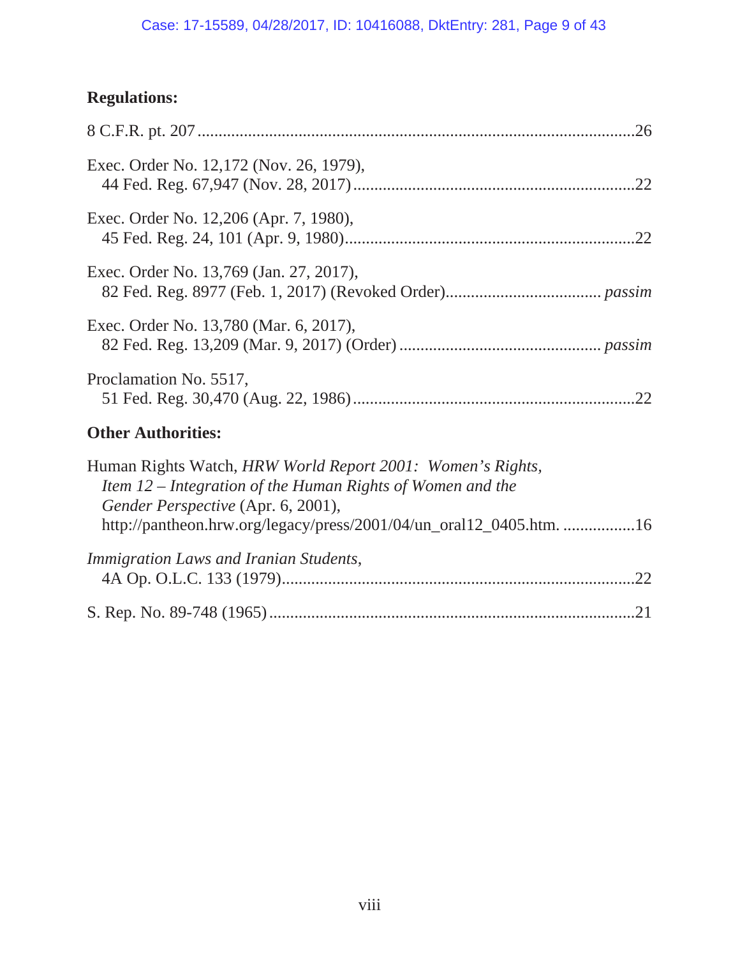## Case: 17-15589, 04/28/2017, ID: 10416088, DktEntry: 281, Page 9 of 43

# **Regulations:**

| Exec. Order No. 12,172 (Nov. 26, 1979),                                                                                                                                                                                               |
|---------------------------------------------------------------------------------------------------------------------------------------------------------------------------------------------------------------------------------------|
| Exec. Order No. 12,206 (Apr. 7, 1980),                                                                                                                                                                                                |
| Exec. Order No. 13,769 (Jan. 27, 2017),                                                                                                                                                                                               |
| Exec. Order No. 13,780 (Mar. 6, 2017),                                                                                                                                                                                                |
| Proclamation No. 5517,                                                                                                                                                                                                                |
| <b>Other Authorities:</b>                                                                                                                                                                                                             |
| Human Rights Watch, HRW World Report 2001: Women's Rights,<br>Item 12 – Integration of the Human Rights of Women and the<br>Gender Perspective (Apr. 6, 2001),<br>http://pantheon.hrw.org/legacy/press/2001/04/un_oral12_0405.htm. 16 |
| Immigration Laws and Iranian Students,                                                                                                                                                                                                |
|                                                                                                                                                                                                                                       |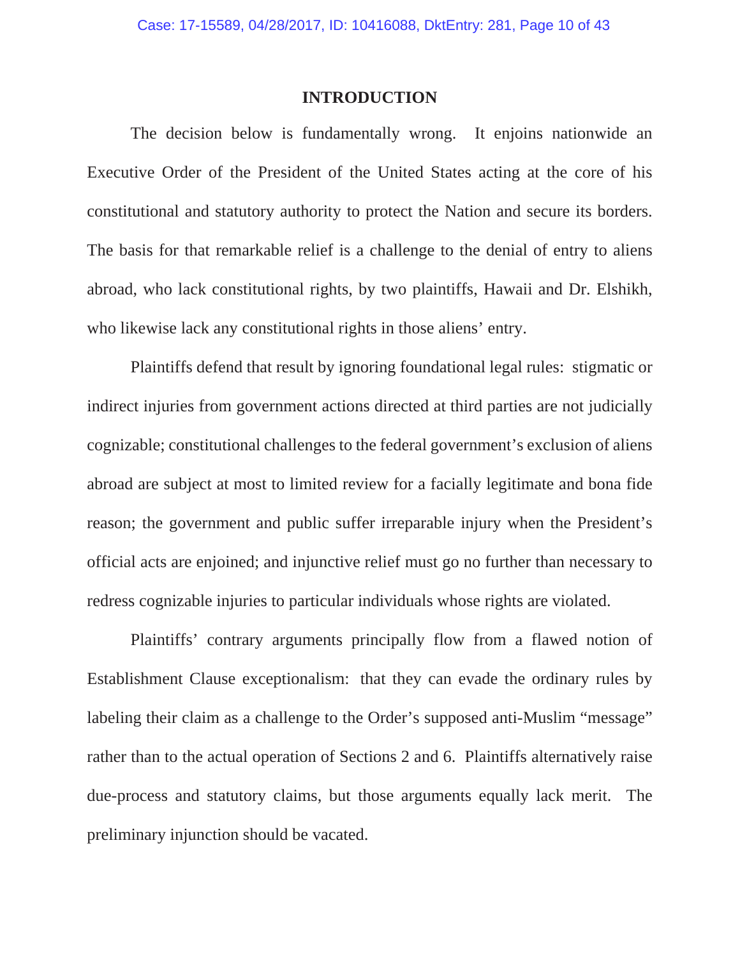#### **INTRODUCTION**

The decision below is fundamentally wrong. It enjoins nationwide an Executive Order of the President of the United States acting at the core of his constitutional and statutory authority to protect the Nation and secure its borders. The basis for that remarkable relief is a challenge to the denial of entry to aliens abroad, who lack constitutional rights, by two plaintiffs, Hawaii and Dr. Elshikh, who likewise lack any constitutional rights in those aliens' entry.

Plaintiffs defend that result by ignoring foundational legal rules: stigmatic or indirect injuries from government actions directed at third parties are not judicially cognizable; constitutional challenges to the federal government's exclusion of aliens abroad are subject at most to limited review for a facially legitimate and bona fide reason; the government and public suffer irreparable injury when the President's official acts are enjoined; and injunctive relief must go no further than necessary to redress cognizable injuries to particular individuals whose rights are violated.

Plaintiffs' contrary arguments principally flow from a flawed notion of Establishment Clause exceptionalism: that they can evade the ordinary rules by labeling their claim as a challenge to the Order's supposed anti-Muslim "message" rather than to the actual operation of Sections 2 and 6. Plaintiffs alternatively raise due-process and statutory claims, but those arguments equally lack merit. The preliminary injunction should be vacated.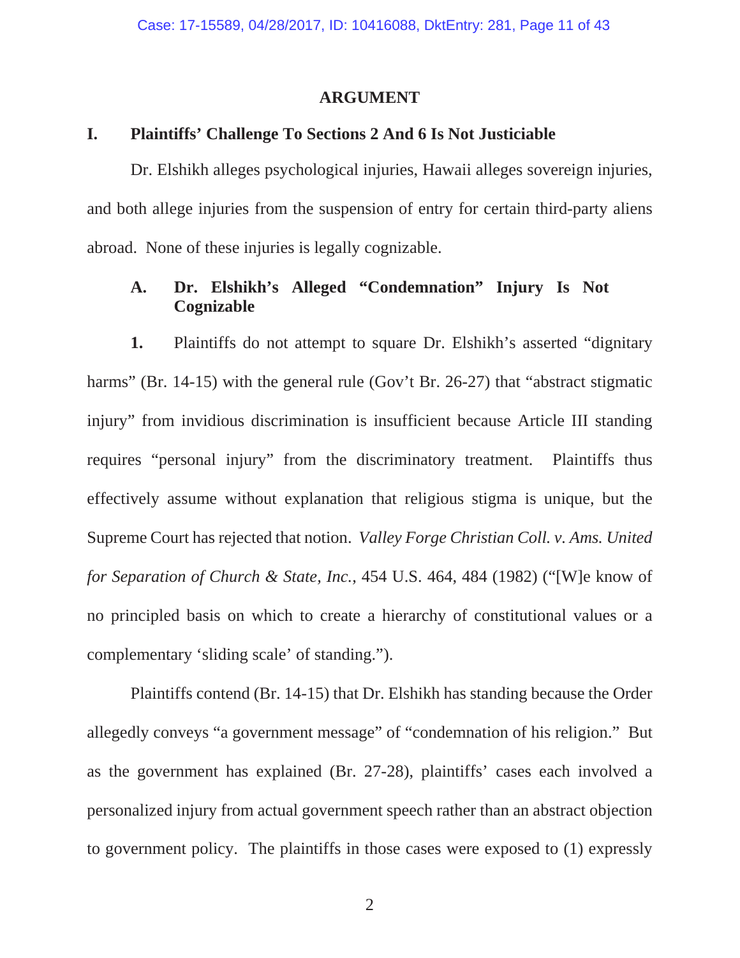### **ARGUMENT**

## **I. Plaintiffs' Challenge To Sections 2 And 6 Is Not Justiciable**

Dr. Elshikh alleges psychological injuries, Hawaii alleges sovereign injuries, and both allege injuries from the suspension of entry for certain third-party aliens abroad. None of these injuries is legally cognizable.

# **A. Dr. Elshikh's Alleged "Condemnation" Injury Is Not Cognizable**

**1.** Plaintiffs do not attempt to square Dr. Elshikh's asserted "dignitary harms" (Br. 14-15) with the general rule (Gov't Br. 26-27) that "abstract stigmatic injury" from invidious discrimination is insufficient because Article III standing requires "personal injury" from the discriminatory treatment. Plaintiffs thus effectively assume without explanation that religious stigma is unique, but the Supreme Court has rejected that notion. *Valley Forge Christian Coll. v. Ams. United for Separation of Church & State, Inc.*, 454 U.S. 464, 484 (1982) ("[W]e know of no principled basis on which to create a hierarchy of constitutional values or a complementary 'sliding scale' of standing.").

Plaintiffs contend (Br. 14-15) that Dr. Elshikh has standing because the Order allegedly conveys "a government message" of "condemnation of his religion." But as the government has explained (Br. 27-28), plaintiffs' cases each involved a personalized injury from actual government speech rather than an abstract objection to government policy. The plaintiffs in those cases were exposed to (1) expressly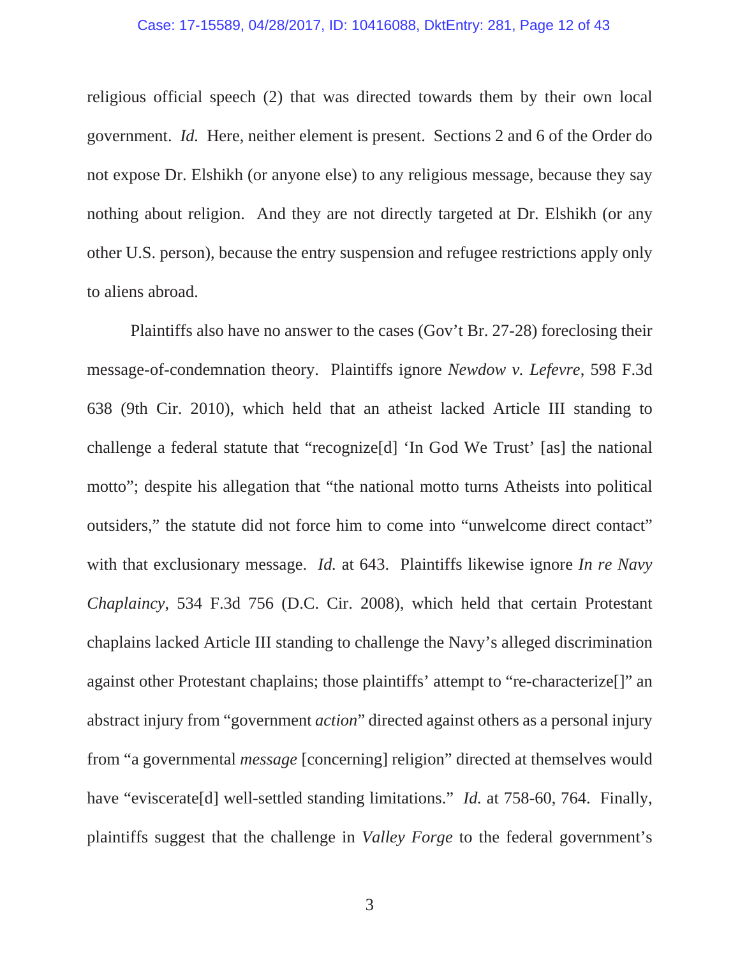religious official speech (2) that was directed towards them by their own local government. *Id.* Here, neither element is present. Sections 2 and 6 of the Order do not expose Dr. Elshikh (or anyone else) to any religious message, because they say nothing about religion. And they are not directly targeted at Dr. Elshikh (or any other U.S. person), because the entry suspension and refugee restrictions apply only to aliens abroad.

Plaintiffs also have no answer to the cases (Gov't Br. 27-28) foreclosing their message-of-condemnation theory. Plaintiffs ignore *Newdow v. Lefevre*, 598 F.3d 638 (9th Cir. 2010), which held that an atheist lacked Article III standing to challenge a federal statute that "recognize[d] 'In God We Trust' [as] the national motto"; despite his allegation that "the national motto turns Atheists into political outsiders," the statute did not force him to come into "unwelcome direct contact" with that exclusionary message. *Id.* at 643. Plaintiffs likewise ignore *In re Navy Chaplaincy*, 534 F.3d 756 (D.C. Cir. 2008), which held that certain Protestant chaplains lacked Article III standing to challenge the Navy's alleged discrimination against other Protestant chaplains; those plaintiffs' attempt to "re-characterize[]" an abstract injury from "government *action*" directed against others as a personal injury from "a governmental *message* [concerning] religion" directed at themselves would have "eviscerate<sup>[d]</sup> well-settled standing limitations." *Id.* at 758-60, 764. Finally, plaintiffs suggest that the challenge in *Valley Forge* to the federal government's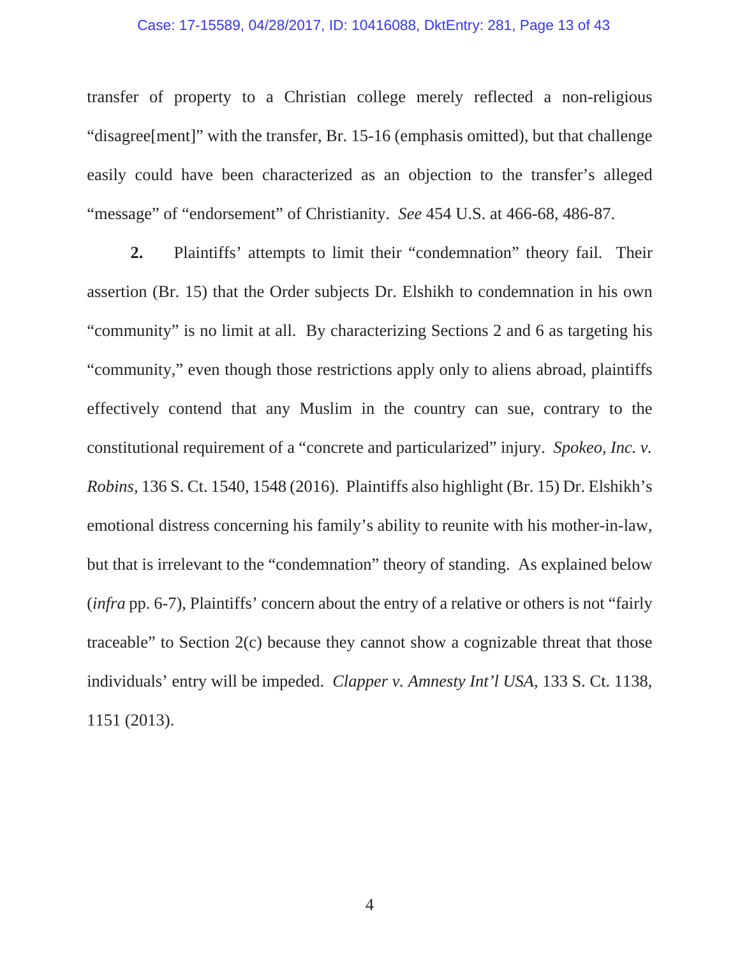#### Case: 17-15589, 04/28/2017, ID: 10416088, DktEntry: 281, Page 13 of 43

transfer of property to a Christian college merely reflected a non-religious "disagree[ment]" with the transfer, Br. 15-16 (emphasis omitted), but that challenge easily could have been characterized as an objection to the transfer's alleged "message" of "endorsement" of Christianity. *See* 454 U.S. at 466-68, 486-87.

**2.** Plaintiffs' attempts to limit their "condemnation" theory fail. Their assertion (Br. 15) that the Order subjects Dr. Elshikh to condemnation in his own "community" is no limit at all. By characterizing Sections 2 and 6 as targeting his "community," even though those restrictions apply only to aliens abroad, plaintiffs effectively contend that any Muslim in the country can sue, contrary to the constitutional requirement of a "concrete and particularized" injury. *Spokeo, Inc. v. Robins*, 136 S. Ct. 1540, 1548 (2016). Plaintiffs also highlight (Br. 15) Dr. Elshikh's emotional distress concerning his family's ability to reunite with his mother-in-law, but that is irrelevant to the "condemnation" theory of standing. As explained below (*infra* pp. 6-7), Plaintiffs' concern about the entry of a relative or others is not "fairly traceable" to Section 2(c) because they cannot show a cognizable threat that those individuals' entry will be impeded. *Clapper v. Amnesty Int'l USA*, 133 S. Ct. 1138, 1151 (2013).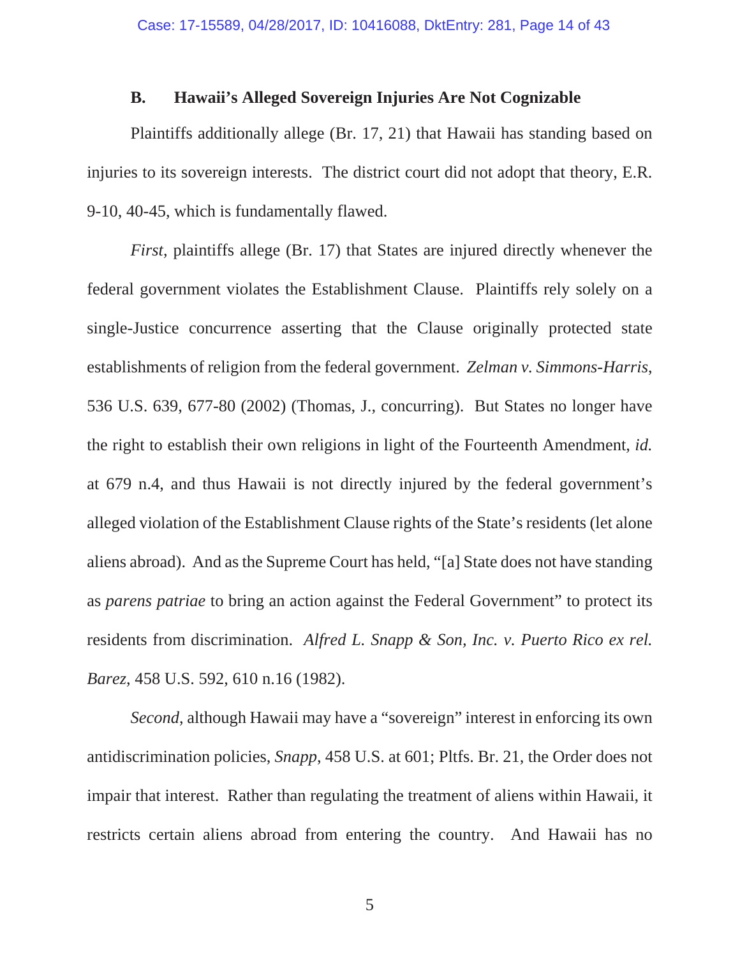### **B. Hawaii's Alleged Sovereign Injuries Are Not Cognizable**

Plaintiffs additionally allege (Br. 17, 21) that Hawaii has standing based on injuries to its sovereign interests. The district court did not adopt that theory, E.R. 9-10, 40-45, which is fundamentally flawed.

*First*, plaintiffs allege (Br. 17) that States are injured directly whenever the federal government violates the Establishment Clause. Plaintiffs rely solely on a single-Justice concurrence asserting that the Clause originally protected state establishments of religion from the federal government. *Zelman v. Simmons-Harris*, 536 U.S. 639, 677-80 (2002) (Thomas, J., concurring). But States no longer have the right to establish their own religions in light of the Fourteenth Amendment, *id.* at 679 n.4, and thus Hawaii is not directly injured by the federal government's alleged violation of the Establishment Clause rights of the State's residents (let alone aliens abroad). And as the Supreme Court has held, "[a] State does not have standing as *parens patriae* to bring an action against the Federal Government" to protect its residents from discrimination. *Alfred L. Snapp & Son, Inc. v. Puerto Rico ex rel. Barez*, 458 U.S. 592, 610 n.16 (1982).

*Second*, although Hawaii may have a "sovereign" interest in enforcing its own antidiscrimination policies, *Snapp*, 458 U.S. at 601; Pltfs. Br. 21, the Order does not impair that interest. Rather than regulating the treatment of aliens within Hawaii, it restricts certain aliens abroad from entering the country. And Hawaii has no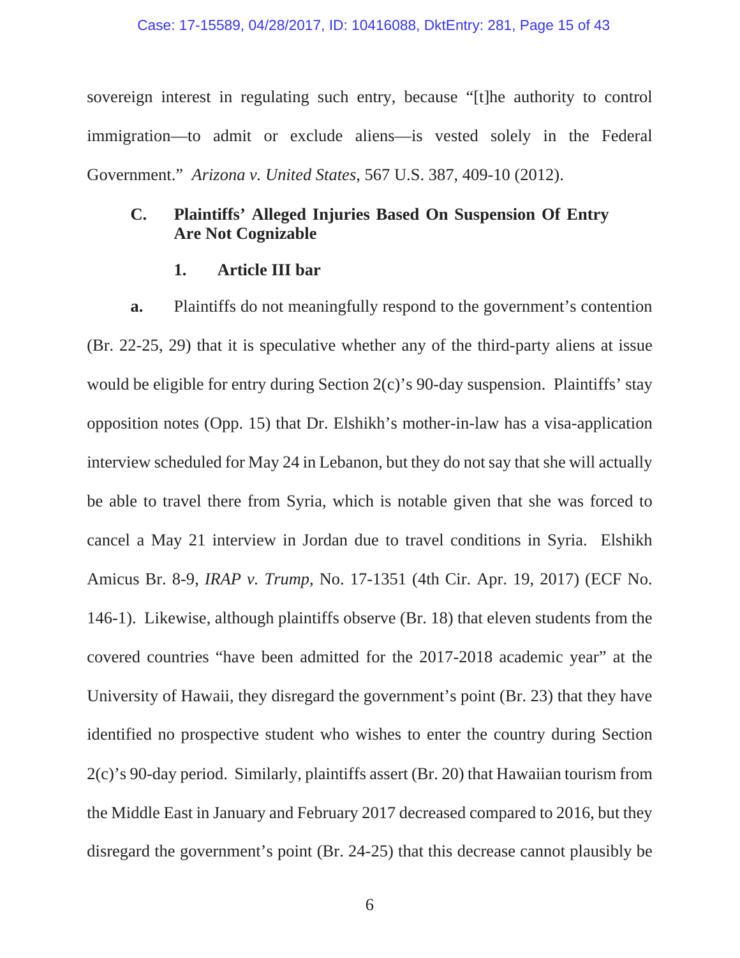sovereign interest in regulating such entry, because "[t]he authority to control immigration—to admit or exclude aliens—is vested solely in the Federal Government." *Arizona v. United States*, 567 U.S. 387, 409-10 (2012).

# **C. Plaintiffs' Alleged Injuries Based On Suspension Of Entry Are Not Cognizable**

### **1. Article III bar**

**a.** Plaintiffs do not meaningfully respond to the government's contention (Br. 22-25, 29) that it is speculative whether any of the third-party aliens at issue would be eligible for entry during Section 2(c)'s 90-day suspension. Plaintiffs' stay opposition notes (Opp. 15) that Dr. Elshikh's mother-in-law has a visa-application interview scheduled for May 24 in Lebanon, but they do not say that she will actually be able to travel there from Syria, which is notable given that she was forced to cancel a May 21 interview in Jordan due to travel conditions in Syria. Elshikh Amicus Br. 8-9, *IRAP v. Trump*, No. 17-1351 (4th Cir. Apr. 19, 2017) (ECF No. 146-1). Likewise, although plaintiffs observe (Br. 18) that eleven students from the covered countries "have been admitted for the 2017-2018 academic year" at the University of Hawaii, they disregard the government's point (Br. 23) that they have identified no prospective student who wishes to enter the country during Section 2(c)'s 90-day period. Similarly, plaintiffs assert (Br. 20) that Hawaiian tourism from the Middle East in January and February 2017 decreased compared to 2016, but they disregard the government's point (Br. 24-25) that this decrease cannot plausibly be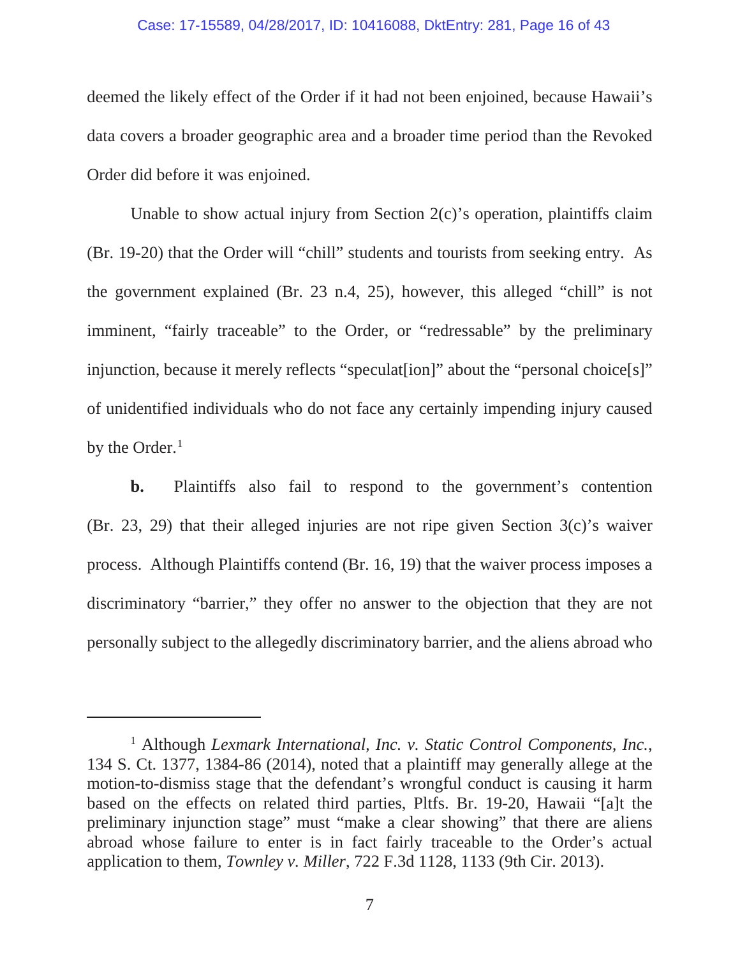#### Case: 17-15589, 04/28/2017, ID: 10416088, DktEntry: 281, Page 16 of 43

deemed the likely effect of the Order if it had not been enjoined, because Hawaii's data covers a broader geographic area and a broader time period than the Revoked Order did before it was enjoined.

Unable to show actual injury from Section 2(c)'s operation, plaintiffs claim (Br. 19-20) that the Order will "chill" students and tourists from seeking entry. As the government explained (Br. 23 n.4, 25), however, this alleged "chill" is not imminent, "fairly traceable" to the Order, or "redressable" by the preliminary injunction, because it merely reflects "speculat[ion]" about the "personal choice[s]" of unidentified individuals who do not face any certainly impending injury caused by the Order.<sup>1</sup>

**b.** Plaintiffs also fail to respond to the government's contention (Br. 23, 29) that their alleged injuries are not ripe given Section 3(c)'s waiver process. Although Plaintiffs contend (Br. 16, 19) that the waiver process imposes a discriminatory "barrier," they offer no answer to the objection that they are not personally subject to the allegedly discriminatory barrier, and the aliens abroad who

<sup>1</sup> Although *Lexmark International, Inc. v. Static Control Components, Inc.*, 134 S. Ct. 1377, 1384-86 (2014), noted that a plaintiff may generally allege at the motion-to-dismiss stage that the defendant's wrongful conduct is causing it harm based on the effects on related third parties, Pltfs. Br. 19-20, Hawaii "[a]t the preliminary injunction stage" must "make a clear showing" that there are aliens abroad whose failure to enter is in fact fairly traceable to the Order's actual application to them, *Townley v. Miller*, 722 F.3d 1128, 1133 (9th Cir. 2013).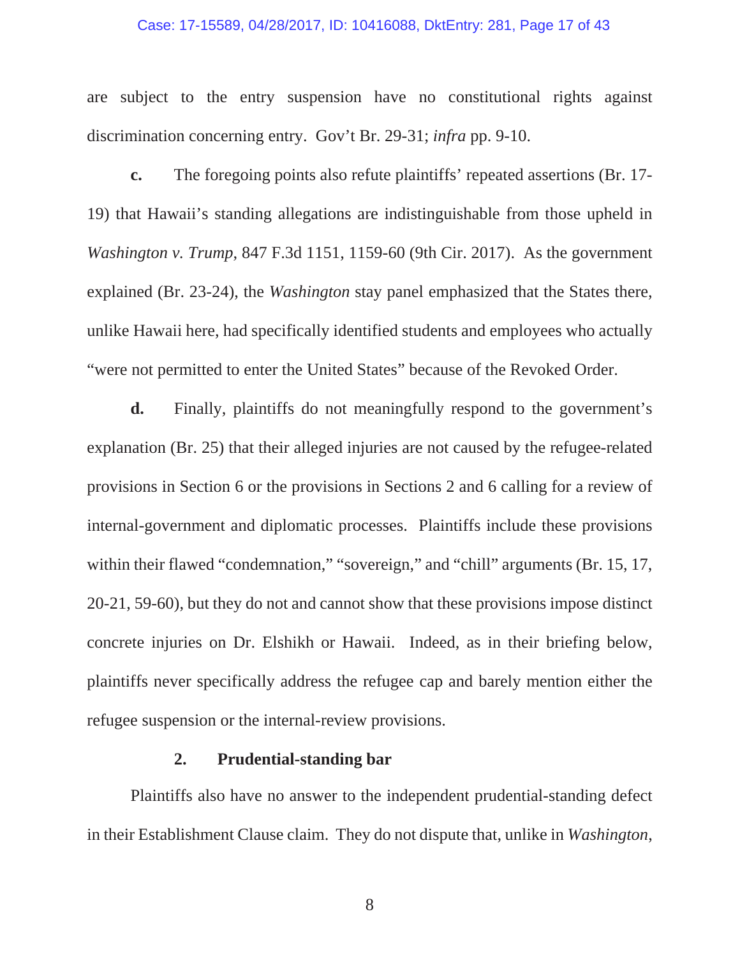#### Case: 17-15589, 04/28/2017, ID: 10416088, DktEntry: 281, Page 17 of 43

are subject to the entry suspension have no constitutional rights against discrimination concerning entry. Gov't Br. 29-31; *infra* pp. 9-10.

**c.** The foregoing points also refute plaintiffs' repeated assertions (Br. 17- 19) that Hawaii's standing allegations are indistinguishable from those upheld in *Washington v. Trump*, 847 F.3d 1151, 1159-60 (9th Cir. 2017). As the government explained (Br. 23-24), the *Washington* stay panel emphasized that the States there, unlike Hawaii here, had specifically identified students and employees who actually "were not permitted to enter the United States" because of the Revoked Order.

**d.** Finally, plaintiffs do not meaningfully respond to the government's explanation (Br. 25) that their alleged injuries are not caused by the refugee-related provisions in Section 6 or the provisions in Sections 2 and 6 calling for a review of internal-government and diplomatic processes. Plaintiffs include these provisions within their flawed "condemnation," "sovereign," and "chill" arguments (Br. 15, 17, 20-21, 59-60), but they do not and cannot show that these provisions impose distinct concrete injuries on Dr. Elshikh or Hawaii. Indeed, as in their briefing below, plaintiffs never specifically address the refugee cap and barely mention either the refugee suspension or the internal-review provisions.

### **2. Prudential-standing bar**

Plaintiffs also have no answer to the independent prudential-standing defect in their Establishment Clause claim. They do not dispute that, unlike in *Washington*,

8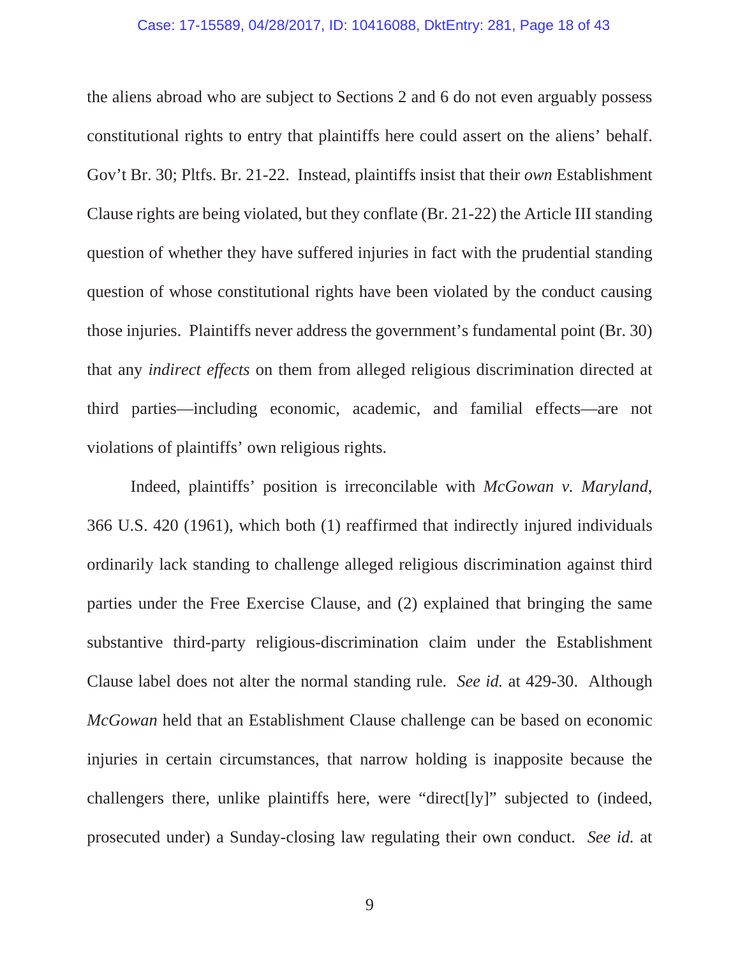#### Case: 17-15589, 04/28/2017, ID: 10416088, DktEntry: 281, Page 18 of 43

the aliens abroad who are subject to Sections 2 and 6 do not even arguably possess constitutional rights to entry that plaintiffs here could assert on the aliens' behalf. Gov't Br. 30; Pltfs. Br. 21-22. Instead, plaintiffs insist that their *own* Establishment Clause rights are being violated, but they conflate (Br. 21-22) the Article III standing question of whether they have suffered injuries in fact with the prudential standing question of whose constitutional rights have been violated by the conduct causing those injuries. Plaintiffs never address the government's fundamental point (Br. 30) that any *indirect effects* on them from alleged religious discrimination directed at third parties—including economic, academic, and familial effects—are not violations of plaintiffs' own religious rights.

Indeed, plaintiffs' position is irreconcilable with *McGowan v. Maryland*, 366 U.S. 420 (1961), which both (1) reaffirmed that indirectly injured individuals ordinarily lack standing to challenge alleged religious discrimination against third parties under the Free Exercise Clause, and (2) explained that bringing the same substantive third-party religious-discrimination claim under the Establishment Clause label does not alter the normal standing rule. *See id.* at 429-30. Although *McGowan* held that an Establishment Clause challenge can be based on economic injuries in certain circumstances, that narrow holding is inapposite because the challengers there, unlike plaintiffs here, were "direct[ly]" subjected to (indeed, prosecuted under) a Sunday-closing law regulating their own conduct. *See id.* at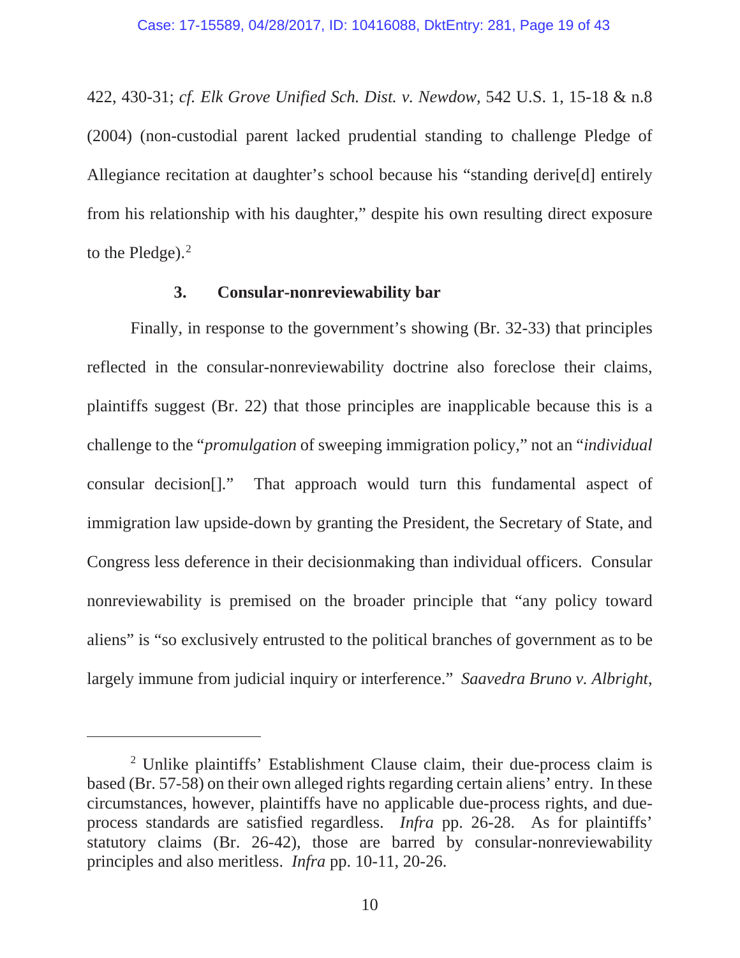422, 430-31; *cf. Elk Grove Unified Sch. Dist. v. Newdow*, 542 U.S. 1, 15-18 & n.8 (2004) (non-custodial parent lacked prudential standing to challenge Pledge of Allegiance recitation at daughter's school because his "standing derive[d] entirely from his relationship with his daughter," despite his own resulting direct exposure to the Pledge). $<sup>2</sup>$ </sup>

# **3. Consular-nonreviewability bar**

Finally, in response to the government's showing (Br. 32-33) that principles reflected in the consular-nonreviewability doctrine also foreclose their claims, plaintiffs suggest (Br. 22) that those principles are inapplicable because this is a challenge to the "*promulgation* of sweeping immigration policy," not an "*individual*  consular decision[]." That approach would turn this fundamental aspect of immigration law upside-down by granting the President, the Secretary of State, and Congress less deference in their decisionmaking than individual officers. Consular nonreviewability is premised on the broader principle that "any policy toward aliens" is "so exclusively entrusted to the political branches of government as to be largely immune from judicial inquiry or interference." *Saavedra Bruno v. Albright*,

<sup>&</sup>lt;sup>2</sup> Unlike plaintiffs' Establishment Clause claim, their due-process claim is based (Br. 57-58) on their own alleged rights regarding certain aliens' entry. In these circumstances, however, plaintiffs have no applicable due-process rights, and dueprocess standards are satisfied regardless. *Infra* pp. 26-28. As for plaintiffs' statutory claims (Br. 26-42), those are barred by consular-nonreviewability principles and also meritless. *Infra* pp. 10-11, 20-26.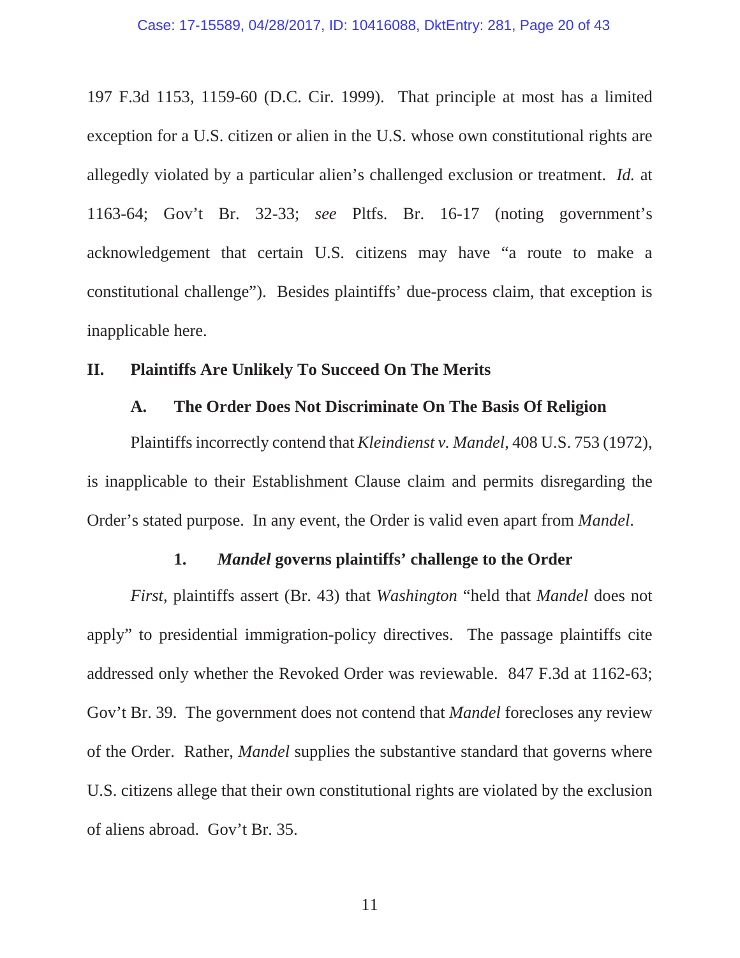197 F.3d 1153, 1159-60 (D.C. Cir. 1999). That principle at most has a limited exception for a U.S. citizen or alien in the U.S. whose own constitutional rights are allegedly violated by a particular alien's challenged exclusion or treatment. *Id.* at 1163-64; Gov't Br. 32-33; *see* Pltfs. Br. 16-17 (noting government's acknowledgement that certain U.S. citizens may have "a route to make a constitutional challenge"). Besides plaintiffs' due-process claim, that exception is inapplicable here.

### **II. Plaintiffs Are Unlikely To Succeed On The Merits**

#### **A. The Order Does Not Discriminate On The Basis Of Religion**

Plaintiffs incorrectly contend that *Kleindienst v. Mandel*, 408 U.S. 753 (1972), is inapplicable to their Establishment Clause claim and permits disregarding the Order's stated purpose. In any event, the Order is valid even apart from *Mandel*.

### **1.** *Mandel* **governs plaintiffs' challenge to the Order**

*First*, plaintiffs assert (Br. 43) that *Washington* "held that *Mandel* does not apply" to presidential immigration-policy directives. The passage plaintiffs cite addressed only whether the Revoked Order was reviewable. 847 F.3d at 1162-63; Gov't Br. 39. The government does not contend that *Mandel* forecloses any review of the Order. Rather, *Mandel* supplies the substantive standard that governs where U.S. citizens allege that their own constitutional rights are violated by the exclusion of aliens abroad. Gov't Br. 35.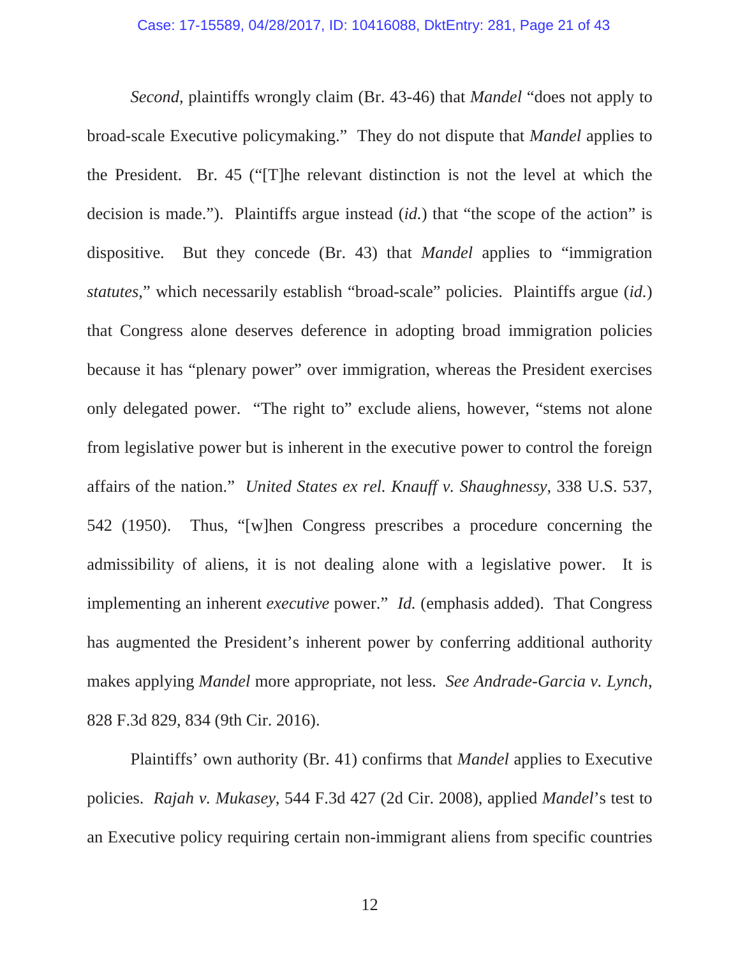*Second*, plaintiffs wrongly claim (Br. 43-46) that *Mandel* "does not apply to broad-scale Executive policymaking." They do not dispute that *Mandel* applies to the President. Br. 45 ("[T]he relevant distinction is not the level at which the decision is made."). Plaintiffs argue instead (*id.*) that "the scope of the action" is dispositive. But they concede (Br. 43) that *Mandel* applies to "immigration *statutes*," which necessarily establish "broad-scale" policies. Plaintiffs argue (*id.*) that Congress alone deserves deference in adopting broad immigration policies because it has "plenary power" over immigration, whereas the President exercises only delegated power. "The right to" exclude aliens, however, "stems not alone from legislative power but is inherent in the executive power to control the foreign affairs of the nation." *United States ex rel. Knauff v. Shaughnessy*, 338 U.S. 537, 542 (1950). Thus, "[w]hen Congress prescribes a procedure concerning the admissibility of aliens, it is not dealing alone with a legislative power. It is implementing an inherent *executive* power." *Id.* (emphasis added). That Congress has augmented the President's inherent power by conferring additional authority makes applying *Mandel* more appropriate, not less. *See Andrade-Garcia v. Lynch*, 828 F.3d 829, 834 (9th Cir. 2016).

Plaintiffs' own authority (Br. 41) confirms that *Mandel* applies to Executive policies. *Rajah v. Mukasey*, 544 F.3d 427 (2d Cir. 2008), applied *Mandel*'s test to an Executive policy requiring certain non-immigrant aliens from specific countries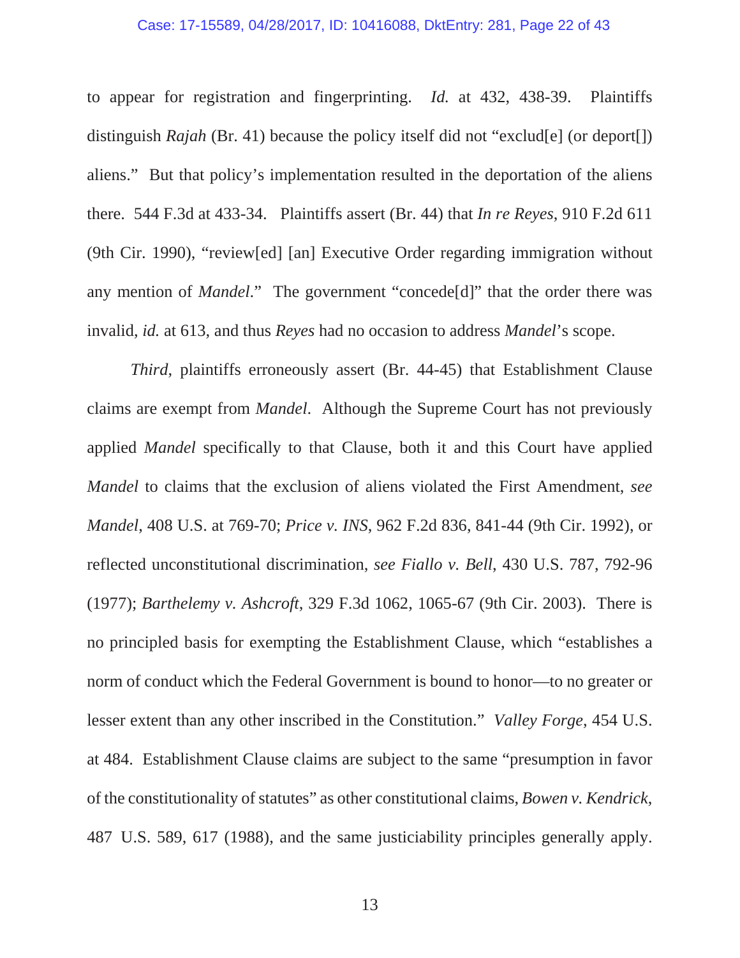#### Case: 17-15589, 04/28/2017, ID: 10416088, DktEntry: 281, Page 22 of 43

to appear for registration and fingerprinting. *Id.* at 432, 438-39. Plaintiffs distinguish *Rajah* (Br. 41) because the policy itself did not "exclud<sup>[e]</sup> (or deport<sup>[]</sup>) aliens." But that policy's implementation resulted in the deportation of the aliens there. 544 F.3d at 433-34. Plaintiffs assert (Br. 44) that *In re Reyes*, 910 F.2d 611 (9th Cir. 1990), "review[ed] [an] Executive Order regarding immigration without any mention of *Mandel*." The government "concede[d]" that the order there was invalid, *id.* at 613, and thus *Reyes* had no occasion to address *Mandel*'s scope.

*Third*, plaintiffs erroneously assert (Br. 44-45) that Establishment Clause claims are exempt from *Mandel*. Although the Supreme Court has not previously applied *Mandel* specifically to that Clause, both it and this Court have applied *Mandel* to claims that the exclusion of aliens violated the First Amendment, *see Mandel*, 408 U.S. at 769-70; *Price v. INS*, 962 F.2d 836, 841-44 (9th Cir. 1992), or reflected unconstitutional discrimination, *see Fiallo v. Bell*, 430 U.S. 787, 792-96 (1977); *Barthelemy v. Ashcroft*, 329 F.3d 1062, 1065-67 (9th Cir. 2003). There is no principled basis for exempting the Establishment Clause, which "establishes a norm of conduct which the Federal Government is bound to honor—to no greater or lesser extent than any other inscribed in the Constitution." *Valley Forge*, 454 U.S. at 484. Establishment Clause claims are subject to the same "presumption in favor of the constitutionality of statutes" as other constitutional claims, *Bowen v. Kendrick*, 487 U.S. 589, 617 (1988), and the same justiciability principles generally apply.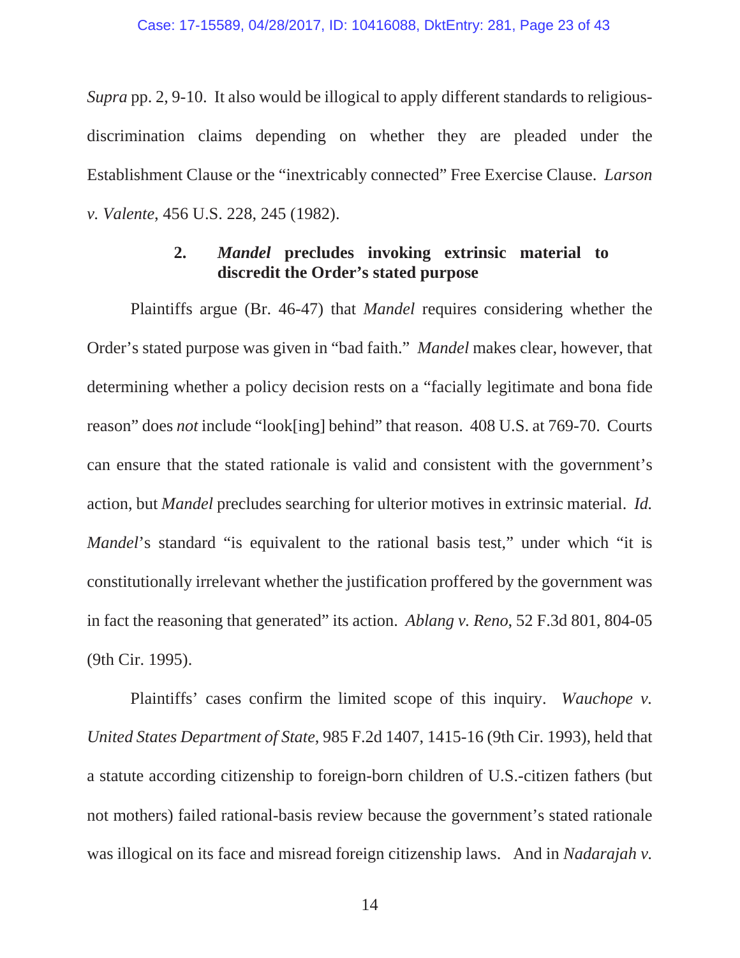*Supra* pp. 2, 9-10. It also would be illogical to apply different standards to religiousdiscrimination claims depending on whether they are pleaded under the Establishment Clause or the "inextricably connected" Free Exercise Clause. *Larson v. Valente*, 456 U.S. 228, 245 (1982).

## **2.** *Mandel* **precludes invoking extrinsic material to discredit the Order's stated purpose**

Plaintiffs argue (Br. 46-47) that *Mandel* requires considering whether the Order's stated purpose was given in "bad faith." *Mandel* makes clear, however, that determining whether a policy decision rests on a "facially legitimate and bona fide reason" does *not* include "look[ing] behind" that reason. 408 U.S. at 769-70. Courts can ensure that the stated rationale is valid and consistent with the government's action, but *Mandel* precludes searching for ulterior motives in extrinsic material. *Id. Mandel*'s standard "is equivalent to the rational basis test," under which "it is constitutionally irrelevant whether the justification proffered by the government was in fact the reasoning that generated" its action. *Ablang v. Reno*, 52 F.3d 801, 804-05 (9th Cir. 1995).

Plaintiffs' cases confirm the limited scope of this inquiry. *Wauchope v. United States Department of State*, 985 F.2d 1407, 1415-16 (9th Cir. 1993), held that a statute according citizenship to foreign-born children of U.S.-citizen fathers (but not mothers) failed rational-basis review because the government's stated rationale was illogical on its face and misread foreign citizenship laws. And in *Nadarajah v.*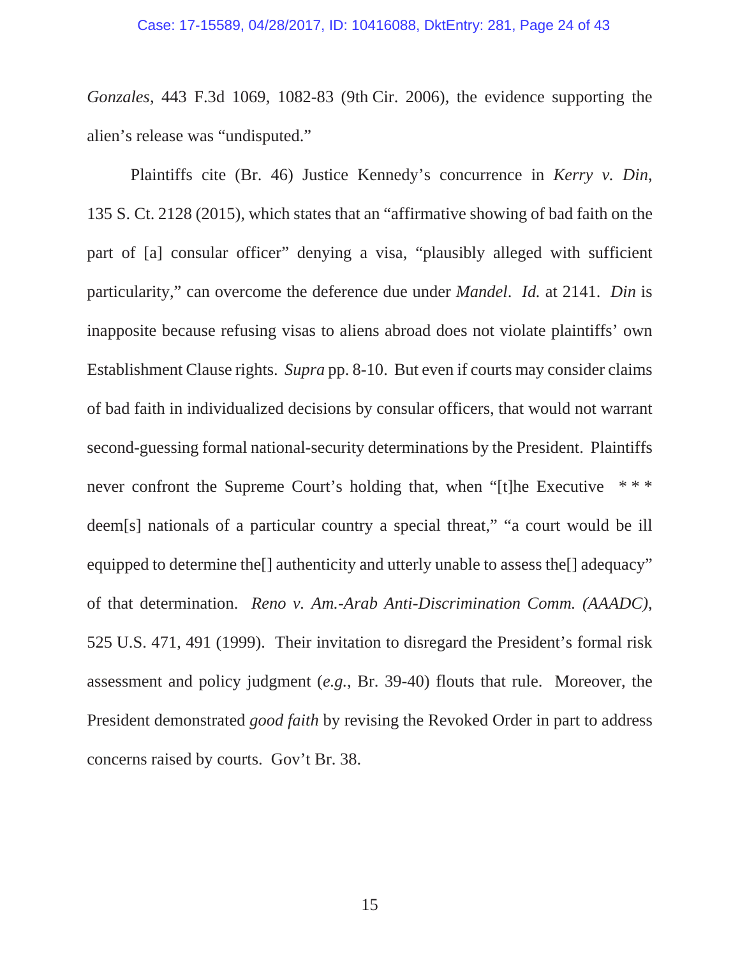*Gonzales*, 443 F.3d 1069, 1082-83 (9th Cir. 2006), the evidence supporting the alien's release was "undisputed."

Plaintiffs cite (Br. 46) Justice Kennedy's concurrence in *Kerry v. Din*, 135 S. Ct. 2128 (2015), which states that an "affirmative showing of bad faith on the part of [a] consular officer" denying a visa, "plausibly alleged with sufficient particularity," can overcome the deference due under *Mandel*. *Id.* at 2141. *Din* is inapposite because refusing visas to aliens abroad does not violate plaintiffs' own Establishment Clause rights. *Supra* pp. 8-10. But even if courts may consider claims of bad faith in individualized decisions by consular officers, that would not warrant second-guessing formal national-security determinations by the President. Plaintiffs never confront the Supreme Court's holding that, when "[t]he Executive \*\*\* deem[s] nationals of a particular country a special threat," "a court would be ill equipped to determine the<sup>[]</sup> authenticity and utterly unable to assess the<sup>[]</sup> adequacy" of that determination. *Reno v. Am.-Arab Anti-Discrimination Comm. (AAADC)*, 525 U.S. 471, 491 (1999). Their invitation to disregard the President's formal risk assessment and policy judgment (*e.g.*, Br. 39-40) flouts that rule. Moreover, the President demonstrated *good faith* by revising the Revoked Order in part to address concerns raised by courts. Gov't Br. 38.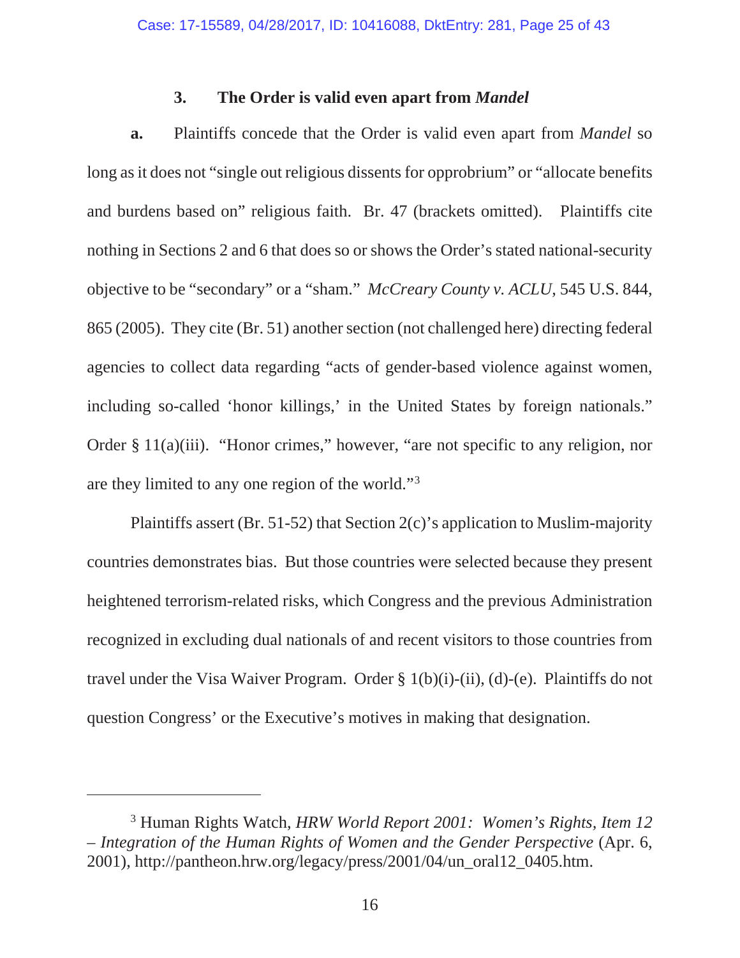## **3. The Order is valid even apart from** *Mandel*

**a.** Plaintiffs concede that the Order is valid even apart from *Mandel* so long as it does not "single out religious dissents for opprobrium" or "allocate benefits" and burdens based on" religious faith. Br. 47 (brackets omitted). Plaintiffs cite nothing in Sections 2 and 6 that does so or shows the Order's stated national-security objective to be "secondary" or a "sham." *McCreary County v. ACLU*, 545 U.S. 844, 865 (2005). They cite (Br. 51) another section (not challenged here) directing federal agencies to collect data regarding "acts of gender-based violence against women, including so-called 'honor killings,' in the United States by foreign nationals." Order § 11(a)(iii). "Honor crimes," however, "are not specific to any religion, nor are they limited to any one region of the world."3

Plaintiffs assert (Br. 51-52) that Section 2(c)'s application to Muslim-majority countries demonstrates bias. But those countries were selected because they present heightened terrorism-related risks, which Congress and the previous Administration recognized in excluding dual nationals of and recent visitors to those countries from travel under the Visa Waiver Program. Order § 1(b)(i)-(ii), (d)-(e). Plaintiffs do not question Congress' or the Executive's motives in making that designation.

<sup>3</sup> Human Rights Watch, *HRW World Report 2001: Women's Rights, Item 12 – Integration of the Human Rights of Women and the Gender Perspective* (Apr. 6, 2001), http://pantheon.hrw.org/legacy/press/2001/04/un\_oral12\_0405.htm.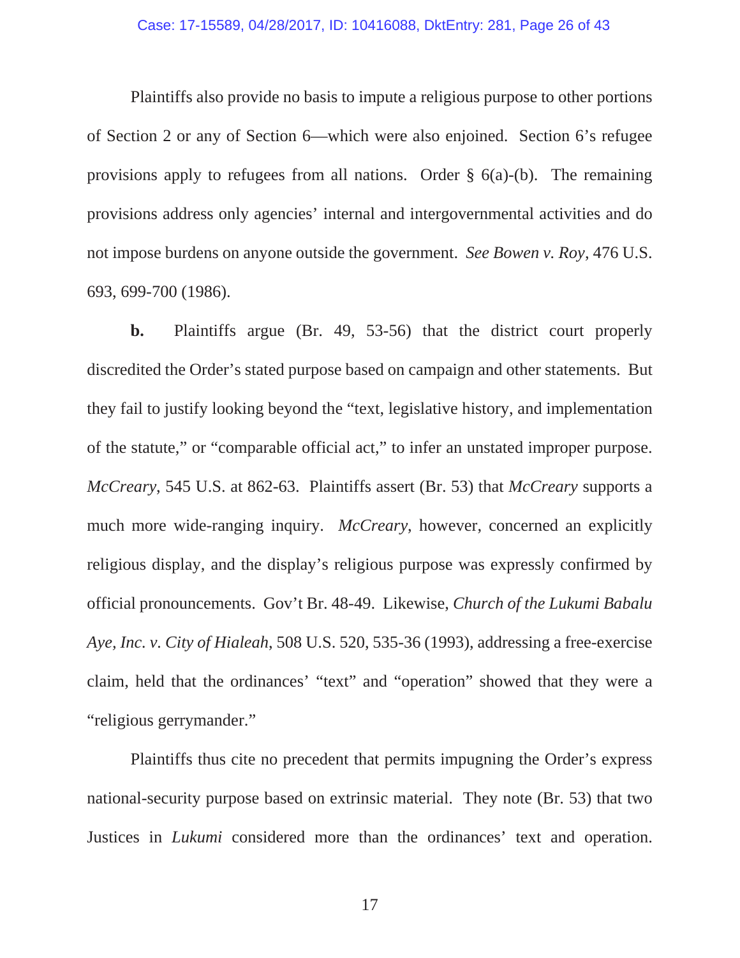Plaintiffs also provide no basis to impute a religious purpose to other portions of Section 2 or any of Section 6—which were also enjoined. Section 6's refugee provisions apply to refugees from all nations. Order § 6(a)-(b). The remaining provisions address only agencies' internal and intergovernmental activities and do not impose burdens on anyone outside the government. *See Bowen v. Roy*, 476 U.S. 693, 699-700 (1986).

**b.** Plaintiffs argue (Br. 49, 53-56) that the district court properly discredited the Order's stated purpose based on campaign and other statements. But they fail to justify looking beyond the "text, legislative history, and implementation of the statute," or "comparable official act," to infer an unstated improper purpose. *McCreary*, 545 U.S. at 862-63. Plaintiffs assert (Br. 53) that *McCreary* supports a much more wide-ranging inquiry. *McCreary*, however, concerned an explicitly religious display, and the display's religious purpose was expressly confirmed by official pronouncements. Gov't Br. 48-49. Likewise, *Church of the Lukumi Babalu Aye, Inc. v. City of Hialeah*, 508 U.S. 520, 535-36 (1993), addressing a free-exercise claim, held that the ordinances' "text" and "operation" showed that they were a "religious gerrymander."

Plaintiffs thus cite no precedent that permits impugning the Order's express national-security purpose based on extrinsic material. They note (Br. 53) that two Justices in *Lukumi* considered more than the ordinances' text and operation.

17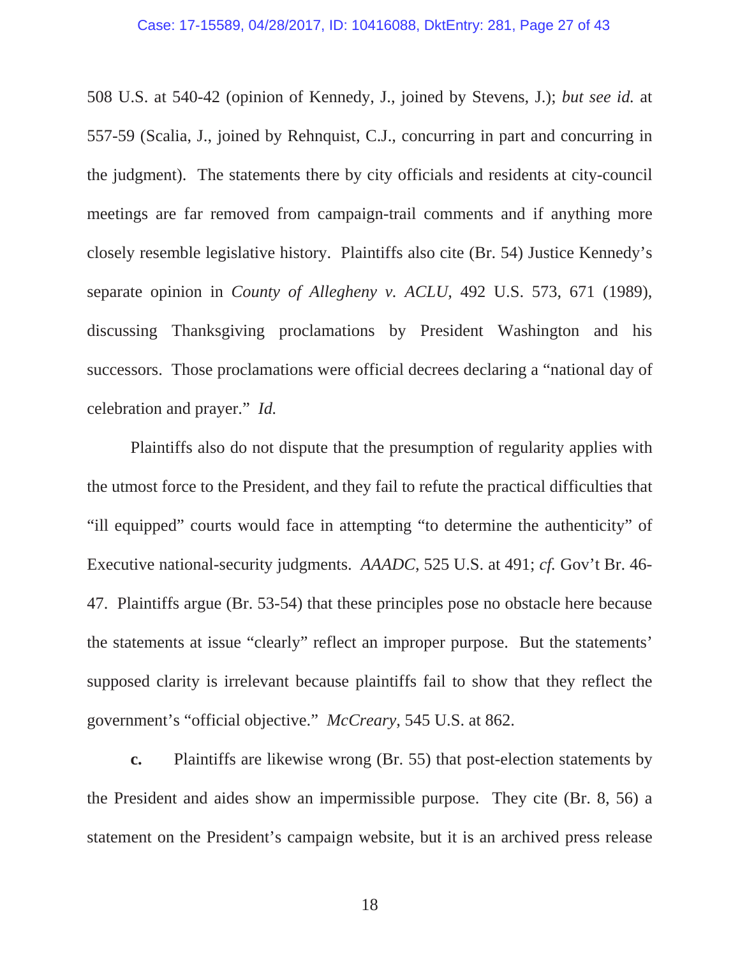508 U.S. at 540-42 (opinion of Kennedy, J., joined by Stevens, J.); *but see id.* at 557-59 (Scalia, J., joined by Rehnquist, C.J., concurring in part and concurring in the judgment). The statements there by city officials and residents at city-council meetings are far removed from campaign-trail comments and if anything more closely resemble legislative history. Plaintiffs also cite (Br. 54) Justice Kennedy's separate opinion in *County of Allegheny v. ACLU*, 492 U.S. 573, 671 (1989), discussing Thanksgiving proclamations by President Washington and his successors. Those proclamations were official decrees declaring a "national day of celebration and prayer." *Id.*

Plaintiffs also do not dispute that the presumption of regularity applies with the utmost force to the President, and they fail to refute the practical difficulties that "ill equipped" courts would face in attempting "to determine the authenticity" of Executive national-security judgments. *AAADC*, 525 U.S. at 491; *cf.* Gov't Br. 46- 47. Plaintiffs argue (Br. 53-54) that these principles pose no obstacle here because the statements at issue "clearly" reflect an improper purpose. But the statements' supposed clarity is irrelevant because plaintiffs fail to show that they reflect the government's "official objective." *McCreary*, 545 U.S. at 862.

**c.** Plaintiffs are likewise wrong (Br. 55) that post-election statements by the President and aides show an impermissible purpose. They cite (Br. 8, 56) a statement on the President's campaign website, but it is an archived press release

18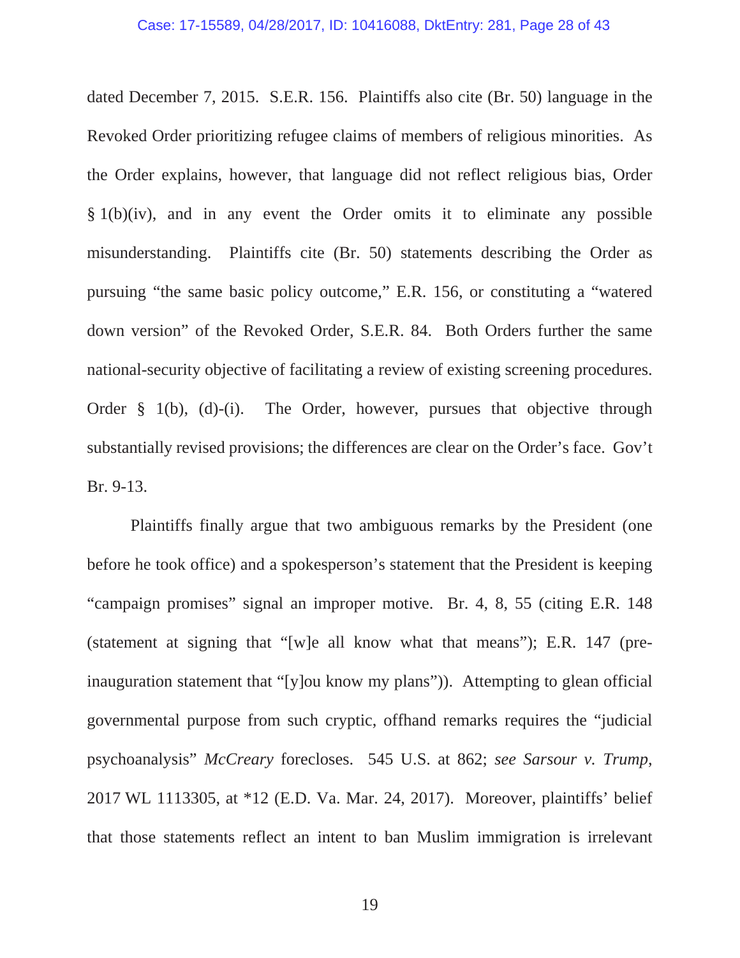dated December 7, 2015. S.E.R. 156. Plaintiffs also cite (Br. 50) language in the Revoked Order prioritizing refugee claims of members of religious minorities. As the Order explains, however, that language did not reflect religious bias, Order § 1(b)(iv), and in any event the Order omits it to eliminate any possible misunderstanding. Plaintiffs cite (Br. 50) statements describing the Order as pursuing "the same basic policy outcome," E.R. 156, or constituting a "watered down version" of the Revoked Order, S.E.R. 84. Both Orders further the same national-security objective of facilitating a review of existing screening procedures. Order § 1(b), (d)-(i). The Order, however, pursues that objective through substantially revised provisions; the differences are clear on the Order's face. Gov't Br. 9-13.

Plaintiffs finally argue that two ambiguous remarks by the President (one before he took office) and a spokesperson's statement that the President is keeping "campaign promises" signal an improper motive. Br. 4, 8, 55 (citing E.R. 148 (statement at signing that "[w]e all know what that means"); E.R. 147 (preinauguration statement that "[y]ou know my plans")). Attempting to glean official governmental purpose from such cryptic, offhand remarks requires the "judicial psychoanalysis" *McCreary* forecloses. 545 U.S. at 862; *see Sarsour v. Trump*, 2017 WL 1113305, at \*12 (E.D. Va. Mar. 24, 2017). Moreover, plaintiffs' belief that those statements reflect an intent to ban Muslim immigration is irrelevant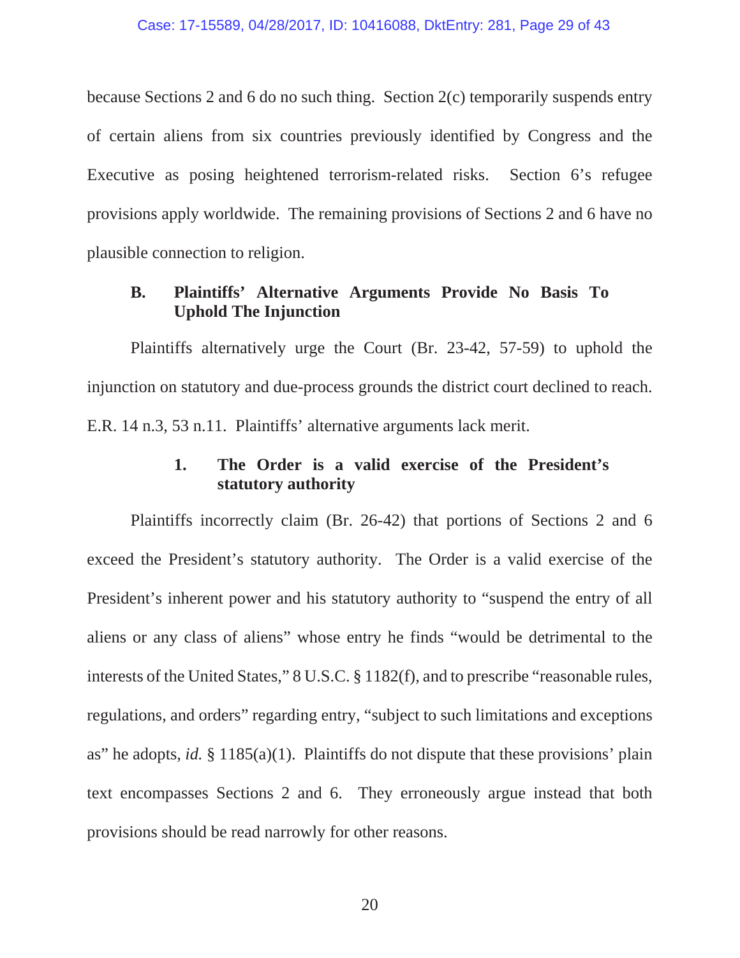because Sections 2 and 6 do no such thing. Section 2(c) temporarily suspends entry of certain aliens from six countries previously identified by Congress and the Executive as posing heightened terrorism-related risks. Section 6's refugee provisions apply worldwide. The remaining provisions of Sections 2 and 6 have no plausible connection to religion.

# **B. Plaintiffs' Alternative Arguments Provide No Basis To Uphold The Injunction**

Plaintiffs alternatively urge the Court (Br. 23-42, 57-59) to uphold the injunction on statutory and due-process grounds the district court declined to reach. E.R. 14 n.3, 53 n.11. Plaintiffs' alternative arguments lack merit.

## **1. The Order is a valid exercise of the President's statutory authority**

Plaintiffs incorrectly claim (Br. 26-42) that portions of Sections 2 and 6 exceed the President's statutory authority. The Order is a valid exercise of the President's inherent power and his statutory authority to "suspend the entry of all aliens or any class of aliens" whose entry he finds "would be detrimental to the interests of the United States," 8 U.S.C. § 1182(f), and to prescribe "reasonable rules, regulations, and orders" regarding entry, "subject to such limitations and exceptions as" he adopts, *id.* § 1185(a)(1). Plaintiffs do not dispute that these provisions' plain text encompasses Sections 2 and 6. They erroneously argue instead that both provisions should be read narrowly for other reasons.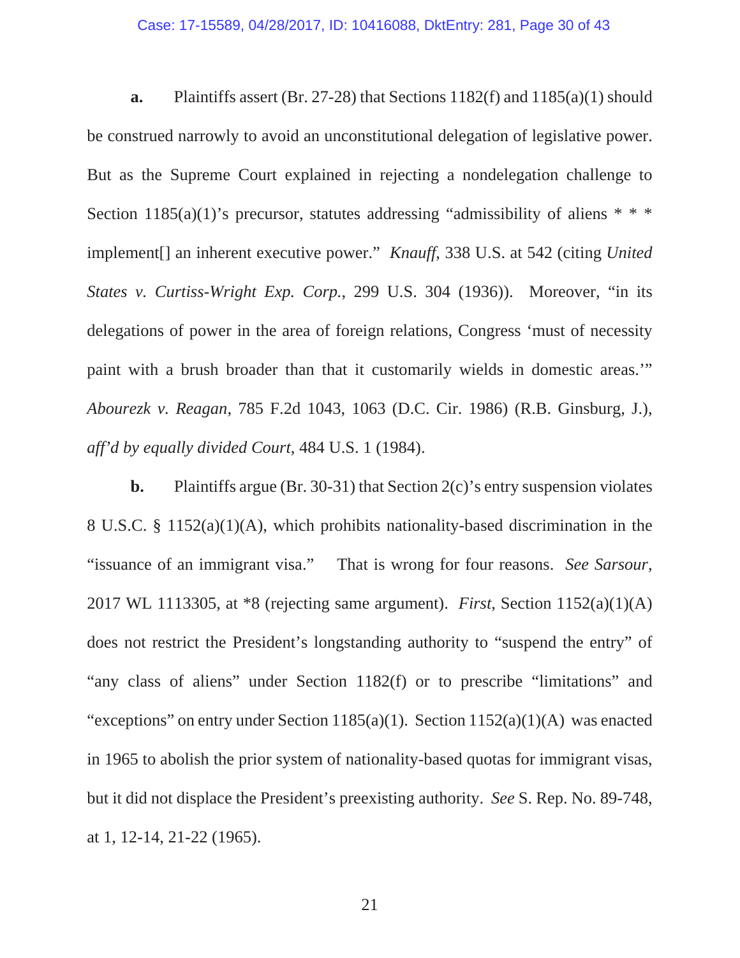**a.** Plaintiffs assert (Br. 27-28) that Sections 1182(f) and 1185(a)(1) should be construed narrowly to avoid an unconstitutional delegation of legislative power. But as the Supreme Court explained in rejecting a nondelegation challenge to Section 1185(a)(1)'s precursor, statutes addressing "admissibility of aliens  $* * *$ implement[] an inherent executive power." *Knauff*, 338 U.S. at 542 (citing *United States v. Curtiss-Wright Exp. Corp.*, 299 U.S. 304 (1936)). Moreover, "in its delegations of power in the area of foreign relations, Congress 'must of necessity paint with a brush broader than that it customarily wields in domestic areas.'" *Abourezk v. Reagan*, 785 F.2d 1043, 1063 (D.C. Cir. 1986) (R.B. Ginsburg, J.), *aff'd by equally divided Court*, 484 U.S. 1 (1984).

**b.** Plaintiffs argue (Br. 30-31) that Section 2(c)'s entry suspension violates 8 U.S.C. § 1152(a)(1)(A), which prohibits nationality-based discrimination in the "issuance of an immigrant visa." That is wrong for four reasons. *See Sarsour*, 2017 WL 1113305, at \*8 (rejecting same argument). *First*, Section 1152(a)(1)(A) does not restrict the President's longstanding authority to "suspend the entry" of "any class of aliens" under Section 1182(f) or to prescribe "limitations" and "exceptions" on entry under Section 1185(a)(1). Section 1152(a)(1)(A) was enacted in 1965 to abolish the prior system of nationality-based quotas for immigrant visas, but it did not displace the President's preexisting authority. *See* S. Rep. No. 89-748, at 1, 12-14, 21-22 (1965).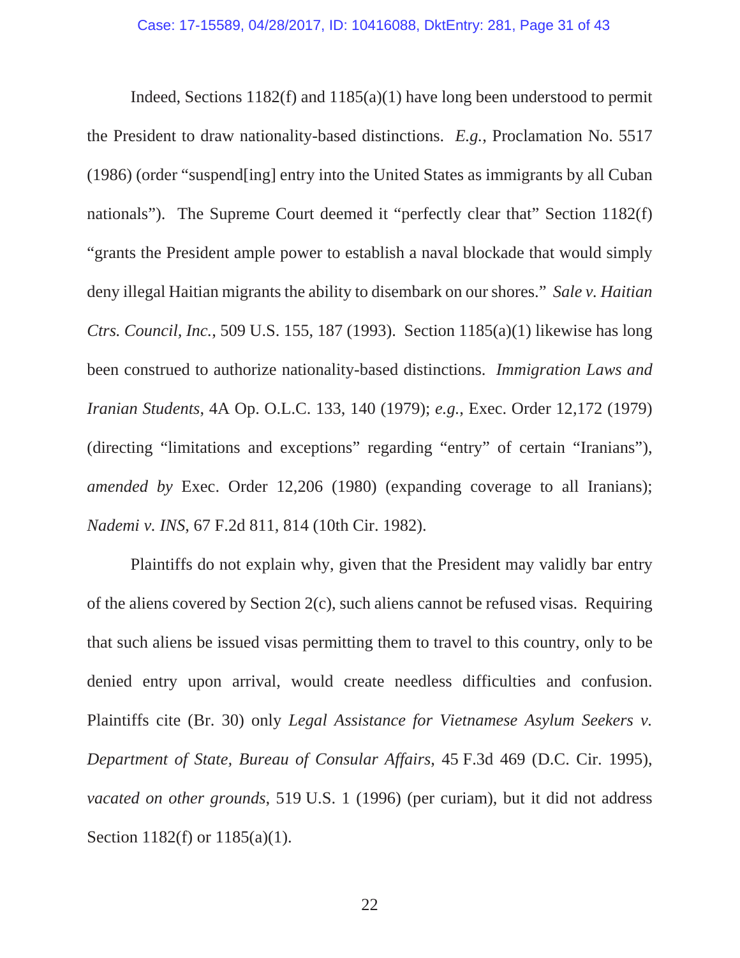Indeed, Sections 1182(f) and 1185(a)(1) have long been understood to permit the President to draw nationality-based distinctions. *E.g.*, Proclamation No. 5517 (1986) (order "suspend[ing] entry into the United States as immigrants by all Cuban nationals"). The Supreme Court deemed it "perfectly clear that" Section 1182(f) "grants the President ample power to establish a naval blockade that would simply deny illegal Haitian migrants the ability to disembark on our shores." *Sale v. Haitian Ctrs. Council, Inc.*, 509 U.S. 155, 187 (1993). Section 1185(a)(1) likewise has long been construed to authorize nationality-based distinctions. *Immigration Laws and Iranian Students*, 4A Op. O.L.C. 133, 140 (1979); *e.g.*, Exec. Order 12,172 (1979) (directing "limitations and exceptions" regarding "entry" of certain "Iranians"), *amended by* Exec. Order 12,206 (1980) (expanding coverage to all Iranians); *Nademi v. INS*, 67 F.2d 811, 814 (10th Cir. 1982).

Plaintiffs do not explain why, given that the President may validly bar entry of the aliens covered by Section 2(c), such aliens cannot be refused visas. Requiring that such aliens be issued visas permitting them to travel to this country, only to be denied entry upon arrival, would create needless difficulties and confusion. Plaintiffs cite (Br. 30) only *Legal Assistance for Vietnamese Asylum Seekers v. Department of State, Bureau of Consular Affairs*, 45 F.3d 469 (D.C. Cir. 1995), *vacated on other grounds*, 519 U.S. 1 (1996) (per curiam), but it did not address Section 1182(f) or 1185(a)(1).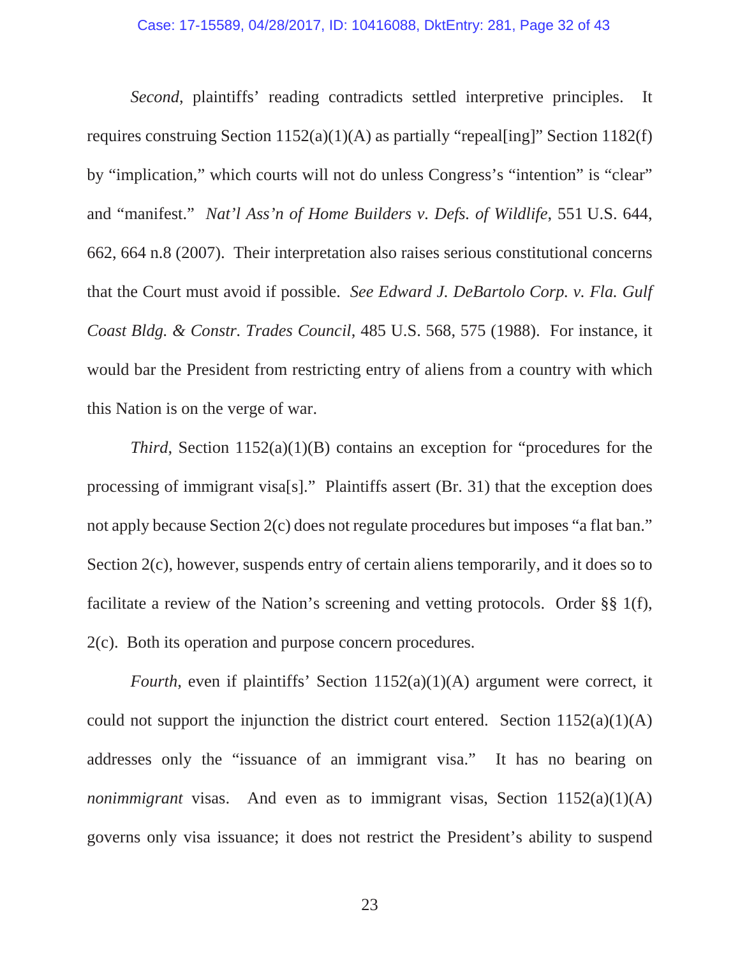*Second*, plaintiffs' reading contradicts settled interpretive principles. It requires construing Section  $1152(a)(1)(A)$  as partially "repeal[ing]" Section 1182(f) by "implication," which courts will not do unless Congress's "intention" is "clear" and "manifest." *Nat'l Ass'n of Home Builders v. Defs. of Wildlife*, 551 U.S. 644, 662, 664 n.8 (2007). Their interpretation also raises serious constitutional concerns that the Court must avoid if possible. *See Edward J. DeBartolo Corp. v. Fla. Gulf Coast Bldg. & Constr. Trades Council*, 485 U.S. 568, 575 (1988). For instance, it would bar the President from restricting entry of aliens from a country with which this Nation is on the verge of war.

*Third*, Section 1152(a)(1)(B) contains an exception for "procedures for the processing of immigrant visa[s]." Plaintiffs assert (Br. 31) that the exception does not apply because Section 2(c) does not regulate procedures but imposes "a flat ban." Section 2(c), however, suspends entry of certain aliens temporarily, and it does so to facilitate a review of the Nation's screening and vetting protocols. Order §§ 1(f), 2(c). Both its operation and purpose concern procedures.

*Fourth*, even if plaintiffs' Section 1152(a)(1)(A) argument were correct, it could not support the injunction the district court entered. Section  $1152(a)(1)(A)$ addresses only the "issuance of an immigrant visa." It has no bearing on *nonimmigrant* visas. And even as to immigrant visas, Section 1152(a)(1)(A) governs only visa issuance; it does not restrict the President's ability to suspend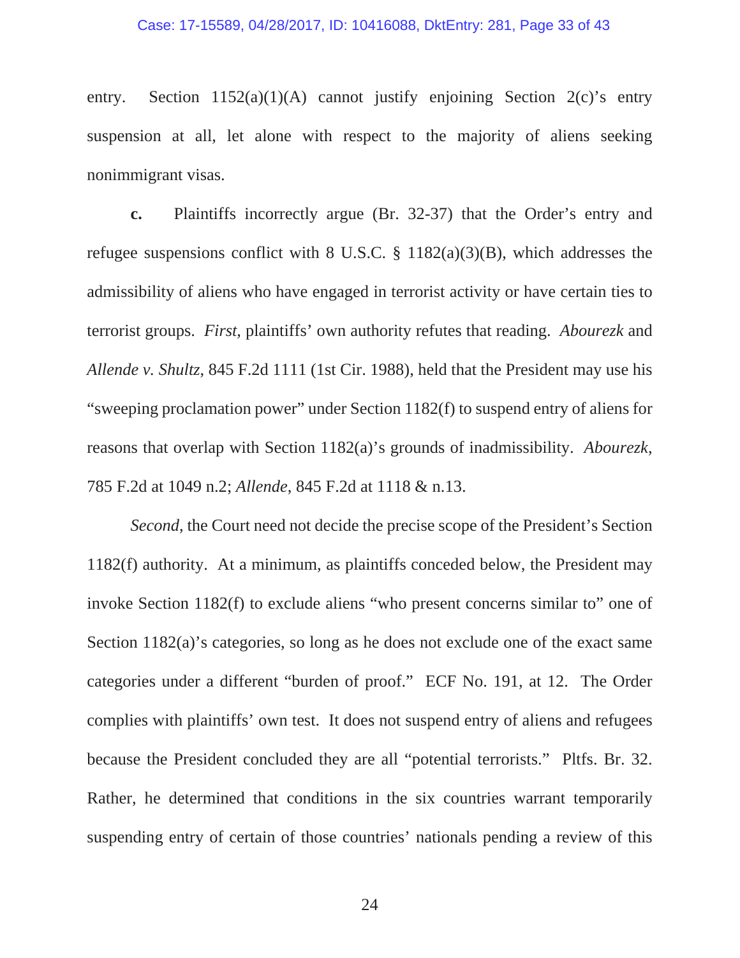entry. Section  $1152(a)(1)(A)$  cannot justify enjoining Section  $2(c)$ 's entry suspension at all, let alone with respect to the majority of aliens seeking nonimmigrant visas.

**c.** Plaintiffs incorrectly argue (Br. 32-37) that the Order's entry and refugee suspensions conflict with 8 U.S.C. § 1182(a)(3)(B), which addresses the admissibility of aliens who have engaged in terrorist activity or have certain ties to terrorist groups. *First*, plaintiffs' own authority refutes that reading. *Abourezk* and *Allende v. Shultz*, 845 F.2d 1111 (1st Cir. 1988), held that the President may use his "sweeping proclamation power" under Section 1182(f) to suspend entry of aliens for reasons that overlap with Section 1182(a)'s grounds of inadmissibility. *Abourezk*, 785 F.2d at 1049 n.2; *Allende*, 845 F.2d at 1118 & n.13.

*Second*, the Court need not decide the precise scope of the President's Section 1182(f) authority. At a minimum, as plaintiffs conceded below, the President may invoke Section 1182(f) to exclude aliens "who present concerns similar to" one of Section 1182(a)'s categories, so long as he does not exclude one of the exact same categories under a different "burden of proof." ECF No. 191, at 12. The Order complies with plaintiffs' own test. It does not suspend entry of aliens and refugees because the President concluded they are all "potential terrorists." Pltfs. Br. 32. Rather, he determined that conditions in the six countries warrant temporarily suspending entry of certain of those countries' nationals pending a review of this

24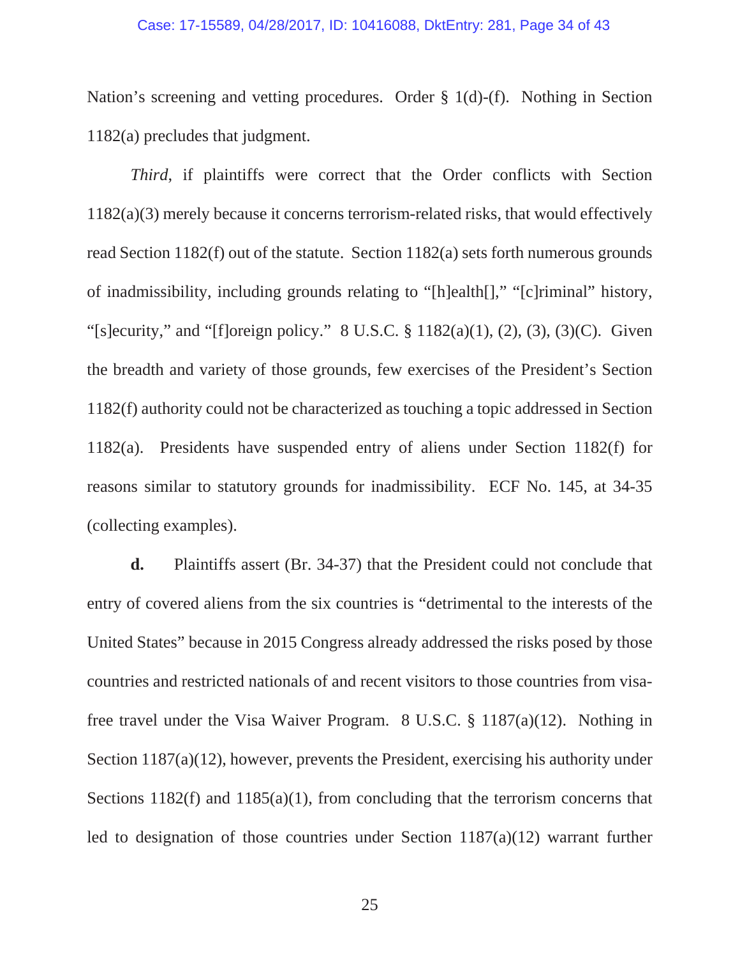#### Case: 17-15589, 04/28/2017, ID: 10416088, DktEntry: 281, Page 34 of 43

Nation's screening and vetting procedures. Order § 1(d)-(f). Nothing in Section 1182(a) precludes that judgment.

*Third*, if plaintiffs were correct that the Order conflicts with Section 1182(a)(3) merely because it concerns terrorism-related risks, that would effectively read Section 1182(f) out of the statute. Section 1182(a) sets forth numerous grounds of inadmissibility, including grounds relating to "[h]ealth[]," "[c]riminal" history, "[s]ecurity," and "[f]oreign policy." 8 U.S.C.  $\S$  1182(a)(1), (2), (3), (3)(C). Given the breadth and variety of those grounds, few exercises of the President's Section 1182(f) authority could not be characterized as touching a topic addressed in Section 1182(a). Presidents have suspended entry of aliens under Section 1182(f) for reasons similar to statutory grounds for inadmissibility. ECF No. 145, at 34-35 (collecting examples).

**d.** Plaintiffs assert (Br. 34-37) that the President could not conclude that entry of covered aliens from the six countries is "detrimental to the interests of the United States" because in 2015 Congress already addressed the risks posed by those countries and restricted nationals of and recent visitors to those countries from visafree travel under the Visa Waiver Program. 8 U.S.C. § 1187(a)(12). Nothing in Section 1187(a)(12), however, prevents the President, exercising his authority under Sections 1182(f) and 1185(a)(1), from concluding that the terrorism concerns that led to designation of those countries under Section 1187(a)(12) warrant further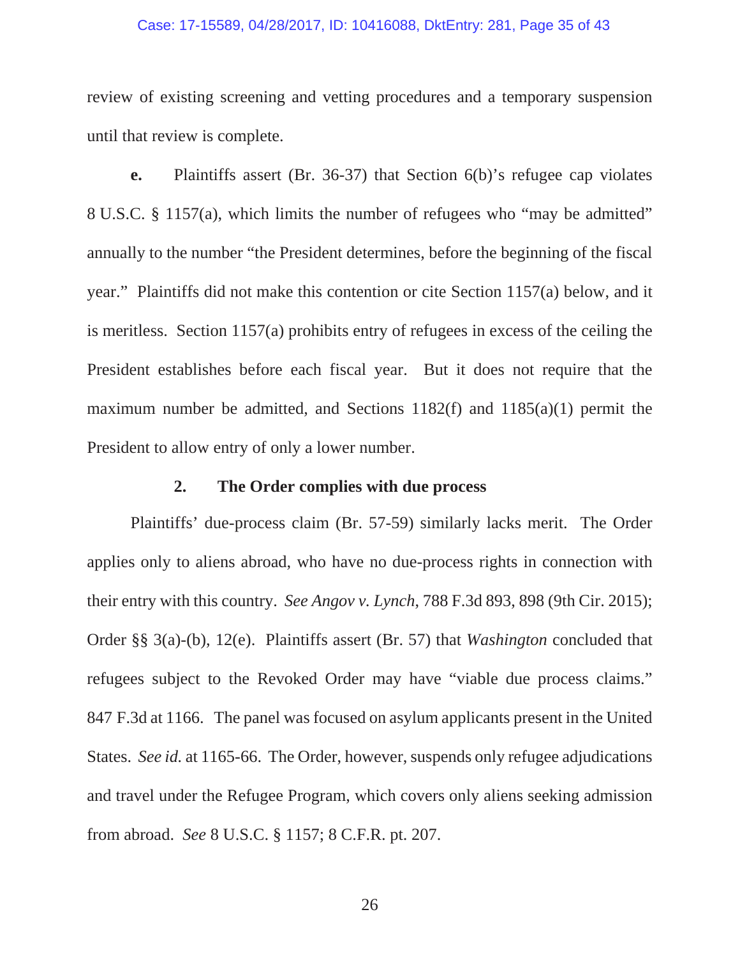#### Case: 17-15589, 04/28/2017, ID: 10416088, DktEntry: 281, Page 35 of 43

review of existing screening and vetting procedures and a temporary suspension until that review is complete.

**e.** Plaintiffs assert (Br. 36-37) that Section 6(b)'s refugee cap violates 8 U.S.C. § 1157(a), which limits the number of refugees who "may be admitted" annually to the number "the President determines, before the beginning of the fiscal year." Plaintiffs did not make this contention or cite Section 1157(a) below, and it is meritless. Section 1157(a) prohibits entry of refugees in excess of the ceiling the President establishes before each fiscal year. But it does not require that the maximum number be admitted, and Sections 1182(f) and 1185(a)(1) permit the President to allow entry of only a lower number.

### **2. The Order complies with due process**

Plaintiffs' due-process claim (Br. 57-59) similarly lacks merit. The Order applies only to aliens abroad, who have no due-process rights in connection with their entry with this country. *See Angov v. Lynch*, 788 F.3d 893, 898 (9th Cir. 2015); Order §§ 3(a)-(b), 12(e). Plaintiffs assert (Br. 57) that *Washington* concluded that refugees subject to the Revoked Order may have "viable due process claims." 847 F.3d at 1166. The panel was focused on asylum applicants present in the United States. *See id.* at 1165-66. The Order, however, suspends only refugee adjudications and travel under the Refugee Program, which covers only aliens seeking admission from abroad. *See* 8 U.S.C. § 1157; 8 C.F.R. pt. 207.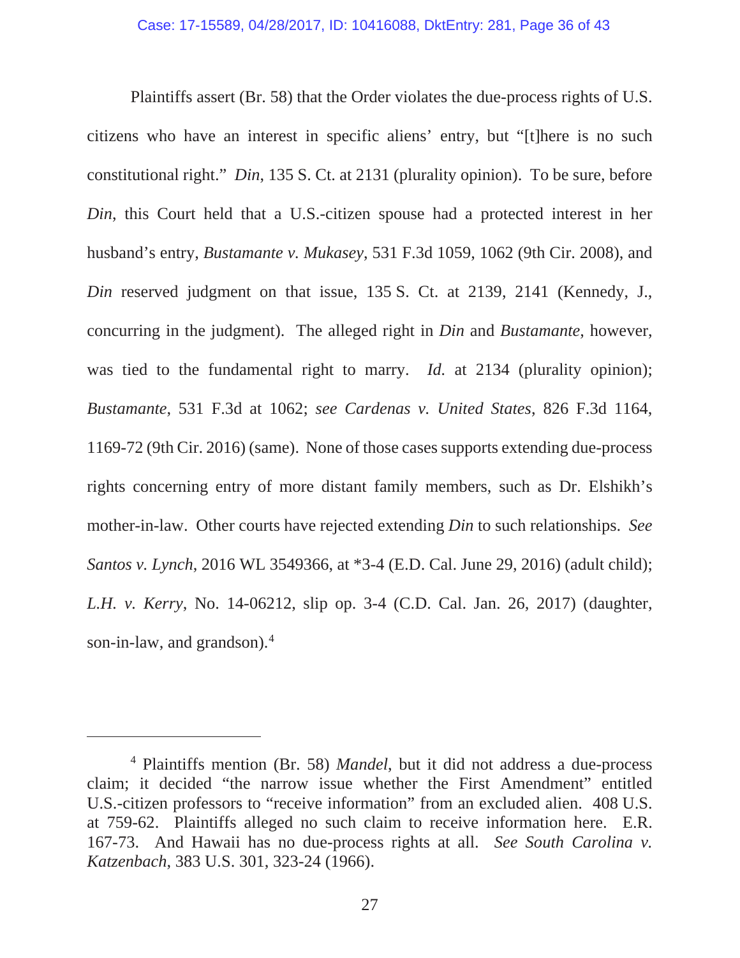Plaintiffs assert (Br. 58) that the Order violates the due-process rights of U.S. citizens who have an interest in specific aliens' entry, but "[t]here is no such constitutional right." *Din*, 135 S. Ct. at 2131 (plurality opinion). To be sure, before *Din*, this Court held that a U.S.-citizen spouse had a protected interest in her husband's entry, *Bustamante v. Mukasey*, 531 F.3d 1059, 1062 (9th Cir. 2008), and *Din* reserved judgment on that issue, 135 S. Ct. at 2139, 2141 (Kennedy, J., concurring in the judgment). The alleged right in *Din* and *Bustamante*, however, was tied to the fundamental right to marry. *Id.* at 2134 (plurality opinion); *Bustamante*, 531 F.3d at 1062; *see Cardenas v. United States*, 826 F.3d 1164, 1169-72 (9th Cir. 2016) (same). None of those cases supports extending due-process rights concerning entry of more distant family members, such as Dr. Elshikh's mother-in-law. Other courts have rejected extending *Din* to such relationships. *See Santos v. Lynch*, 2016 WL 3549366, at \*3-4 (E.D. Cal. June 29, 2016) (adult child); *L.H. v. Kerry*, No. 14-06212, slip op. 3-4 (C.D. Cal. Jan. 26, 2017) (daughter, son-in-law, and grandson).<sup>4</sup>

<sup>4</sup> Plaintiffs mention (Br. 58) *Mandel*, but it did not address a due-process claim; it decided "the narrow issue whether the First Amendment" entitled U.S.-citizen professors to "receive information" from an excluded alien. 408 U.S. at 759-62. Plaintiffs alleged no such claim to receive information here. E.R. 167-73. And Hawaii has no due-process rights at all. *See South Carolina v. Katzenbach*, 383 U.S. 301, 323-24 (1966).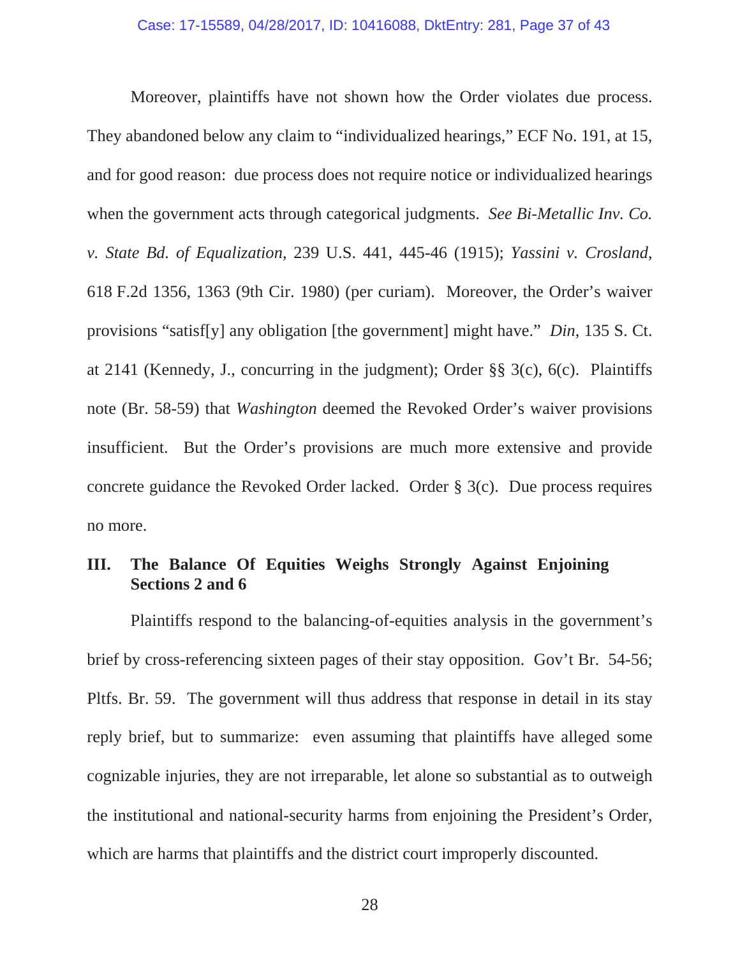Moreover, plaintiffs have not shown how the Order violates due process. They abandoned below any claim to "individualized hearings," ECF No. 191, at 15, and for good reason: due process does not require notice or individualized hearings when the government acts through categorical judgments. *See Bi-Metallic Inv. Co. v. State Bd. of Equalization*, 239 U.S. 441, 445-46 (1915); *Yassini v. Crosland*, 618 F.2d 1356, 1363 (9th Cir. 1980) (per curiam). Moreover, the Order's waiver provisions "satisf[y] any obligation [the government] might have." *Din*, 135 S. Ct. at 2141 (Kennedy, J., concurring in the judgment); Order §§ 3(c), 6(c). Plaintiffs note (Br. 58-59) that *Washington* deemed the Revoked Order's waiver provisions insufficient. But the Order's provisions are much more extensive and provide concrete guidance the Revoked Order lacked. Order § 3(c). Due process requires no more.

# **III. The Balance Of Equities Weighs Strongly Against Enjoining Sections 2 and 6**

Plaintiffs respond to the balancing-of-equities analysis in the government's brief by cross-referencing sixteen pages of their stay opposition. Gov't Br. 54-56; Pltfs. Br. 59. The government will thus address that response in detail in its stay reply brief, but to summarize: even assuming that plaintiffs have alleged some cognizable injuries, they are not irreparable, let alone so substantial as to outweigh the institutional and national-security harms from enjoining the President's Order, which are harms that plaintiffs and the district court improperly discounted.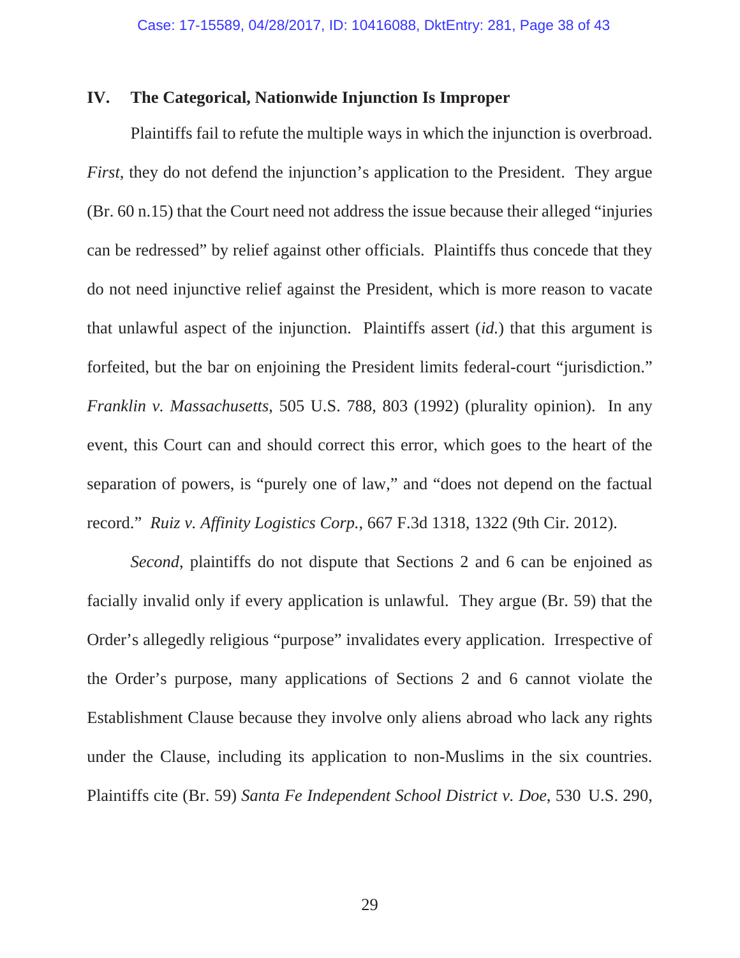## **IV. The Categorical, Nationwide Injunction Is Improper**

Plaintiffs fail to refute the multiple ways in which the injunction is overbroad. *First*, they do not defend the injunction's application to the President. They argue (Br. 60 n.15) that the Court need not address the issue because their alleged "injuries can be redressed" by relief against other officials. Plaintiffs thus concede that they do not need injunctive relief against the President, which is more reason to vacate that unlawful aspect of the injunction. Plaintiffs assert (*id.*) that this argument is forfeited, but the bar on enjoining the President limits federal-court "jurisdiction." *Franklin v. Massachusetts*, 505 U.S. 788, 803 (1992) (plurality opinion). In any event, this Court can and should correct this error, which goes to the heart of the separation of powers, is "purely one of law," and "does not depend on the factual record." *Ruiz v. Affinity Logistics Corp.*, 667 F.3d 1318, 1322 (9th Cir. 2012).

*Second*, plaintiffs do not dispute that Sections 2 and 6 can be enjoined as facially invalid only if every application is unlawful. They argue (Br. 59) that the Order's allegedly religious "purpose" invalidates every application. Irrespective of the Order's purpose, many applications of Sections 2 and 6 cannot violate the Establishment Clause because they involve only aliens abroad who lack any rights under the Clause, including its application to non-Muslims in the six countries. Plaintiffs cite (Br. 59) *Santa Fe Independent School District v. Doe*, 530 U.S. 290,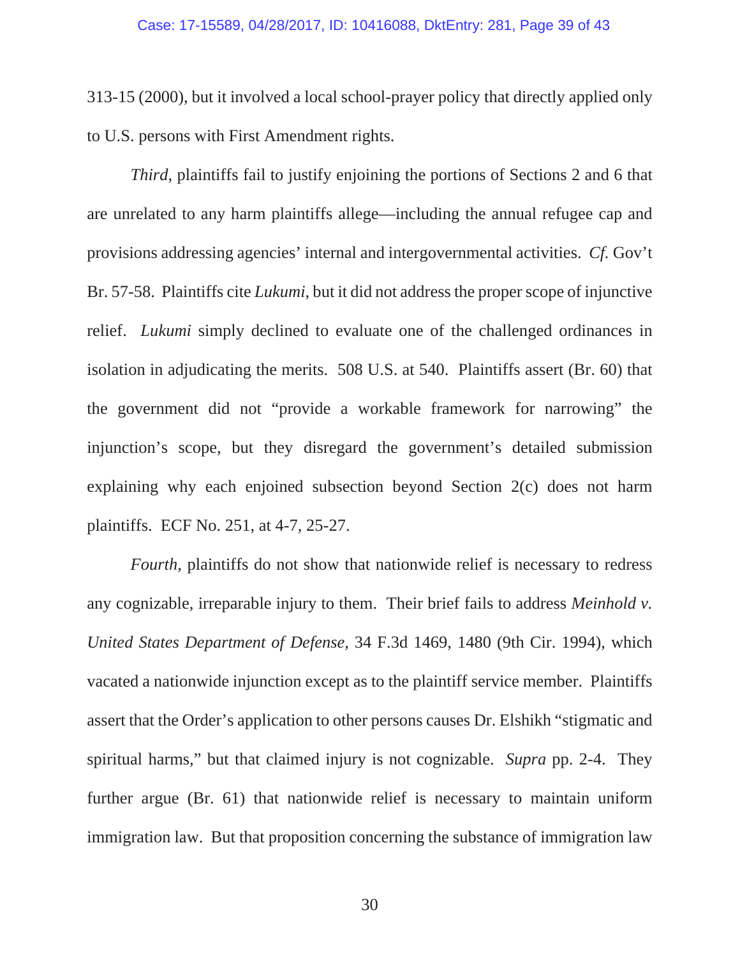313-15 (2000), but it involved a local school-prayer policy that directly applied only to U.S. persons with First Amendment rights.

*Third*, plaintiffs fail to justify enjoining the portions of Sections 2 and 6 that are unrelated to any harm plaintiffs allege—including the annual refugee cap and provisions addressing agencies' internal and intergovernmental activities. *Cf.* Gov't Br. 57-58. Plaintiffs cite *Lukumi*, but it did not address the proper scope of injunctive relief. *Lukumi* simply declined to evaluate one of the challenged ordinances in isolation in adjudicating the merits. 508 U.S. at 540. Plaintiffs assert (Br. 60) that the government did not "provide a workable framework for narrowing" the injunction's scope, but they disregard the government's detailed submission explaining why each enjoined subsection beyond Section 2(c) does not harm plaintiffs. ECF No. 251, at 4-7, 25-27.

*Fourth*, plaintiffs do not show that nationwide relief is necessary to redress any cognizable, irreparable injury to them. Their brief fails to address *Meinhold v. United States Department of Defense*, 34 F.3d 1469, 1480 (9th Cir. 1994), which vacated a nationwide injunction except as to the plaintiff service member. Plaintiffs assert that the Order's application to other persons causes Dr. Elshikh "stigmatic and spiritual harms," but that claimed injury is not cognizable. *Supra* pp. 2-4. They further argue (Br. 61) that nationwide relief is necessary to maintain uniform immigration law. But that proposition concerning the substance of immigration law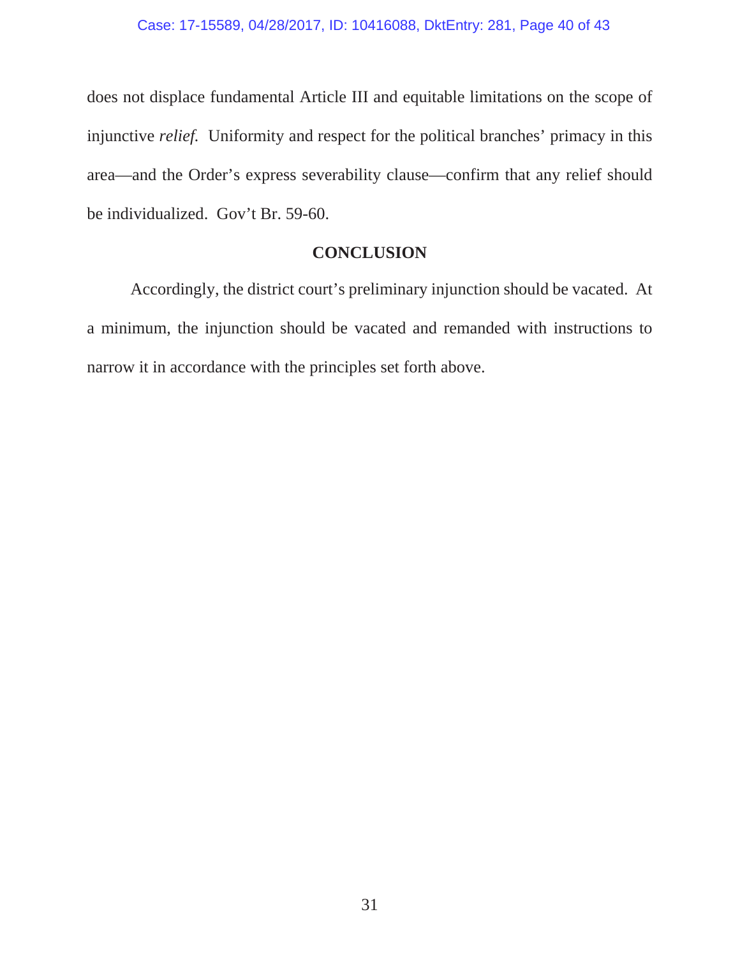does not displace fundamental Article III and equitable limitations on the scope of injunctive *relief.* Uniformity and respect for the political branches' primacy in this area—and the Order's express severability clause—confirm that any relief should be individualized. Gov't Br. 59-60.

## **CONCLUSION**

Accordingly, the district court's preliminary injunction should be vacated. At a minimum, the injunction should be vacated and remanded with instructions to narrow it in accordance with the principles set forth above.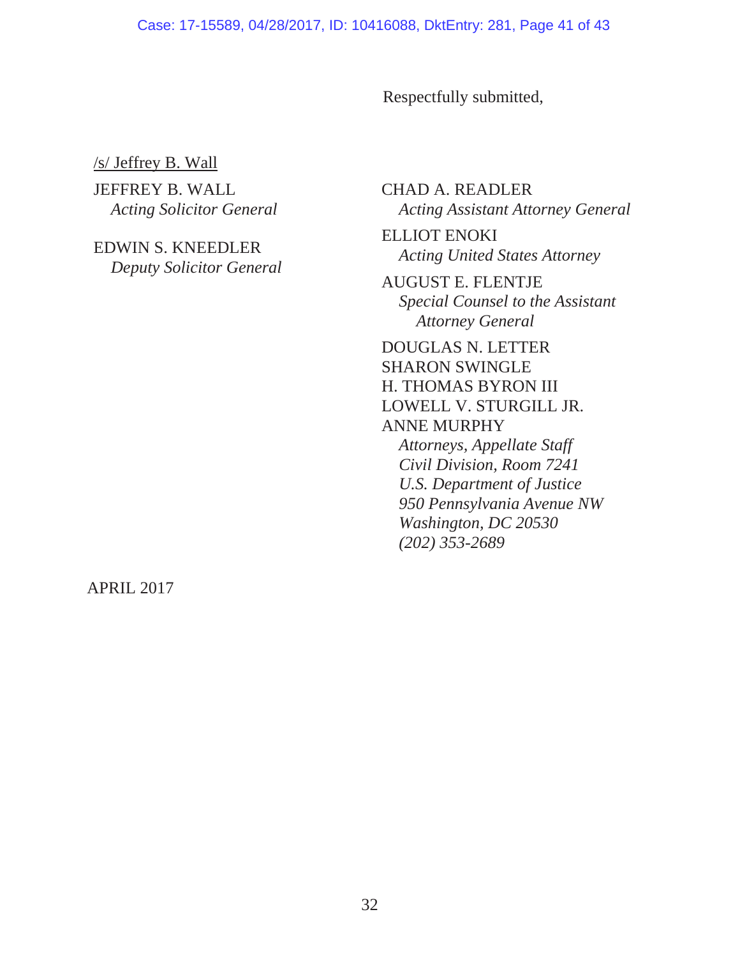Respectfully submitted,

/s/ Jeffrey B. Wall

JEFFREY B. WALL *Acting Solicitor General*

EDWIN S. KNEEDLER *Deputy Solicitor General* CHAD A. READLER *Acting Assistant Attorney General*

ELLIOT ENOKI *Acting United States Attorney*

AUGUST E. FLENTJE *Special Counsel to the Assistant Attorney General*

DOUGLAS N. LETTER SHARON SWINGLE H. THOMAS BYRON III LOWELL V. STURGILL JR. ANNE MURPHY *Attorneys, Appellate Staff*

*Civil Division, Room 7241 U.S. Department of Justice 950 Pennsylvania Avenue NW Washington, DC 20530 (202) 353-2689*

APRIL 2017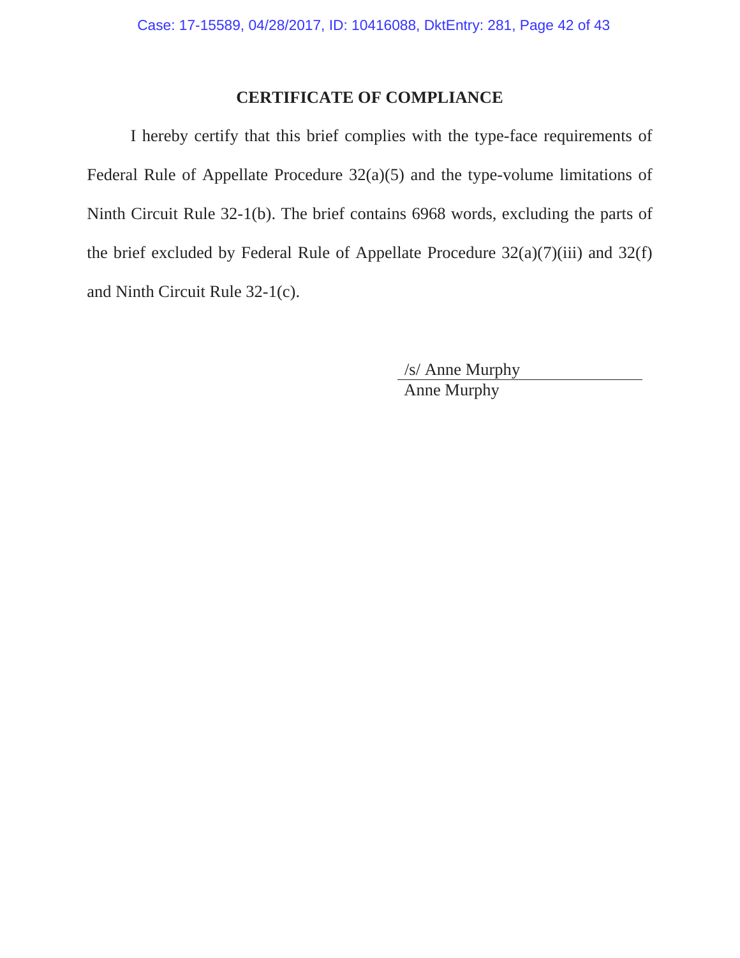# **CERTIFICATE OF COMPLIANCE**

I hereby certify that this brief complies with the type-face requirements of Federal Rule of Appellate Procedure 32(a)(5) and the type-volume limitations of Ninth Circuit Rule 32-1(b). The brief contains 6968 words, excluding the parts of the brief excluded by Federal Rule of Appellate Procedure  $32(a)(7)(iii)$  and  $32(f)$ and Ninth Circuit Rule 32-1(c).

> /s/ Anne Murphy Anne Murphy